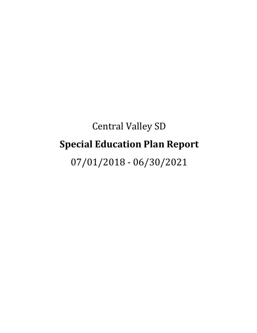# Central Valley SD **Special Education Plan Report**

07/01/2018 - 06/30/2021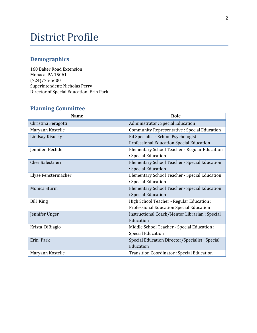## District Profile

## **Demographics**

160 Baker Road Extension Monaca, PA 15061 (724)775-5600 Superintendent: Nicholas Perry Director of Special Education: Erin Park

## **Planning Committee**

| <b>Name</b>         | Role                                               |
|---------------------|----------------------------------------------------|
| Christina Feragotti | <b>Administrator: Special Education</b>            |
| Maryann Kostelic    | <b>Community Representative: Special Education</b> |
| Lindsay Kisucky     | Ed Specialist - School Psychologist :              |
|                     | Professional Education Special Education           |
| Jennifer Bechdel    | Elementary School Teacher - Regular Education      |
|                     | : Special Education                                |
| Cher Balestrieri    | Elementary School Teacher - Special Education      |
|                     | : Special Education                                |
| Elyse Fenstermacher | Elementary School Teacher - Special Education      |
|                     | : Special Education                                |
| Monica Sturm        | Elementary School Teacher - Special Education      |
|                     | : Special Education                                |
| <b>Bill King</b>    | High School Teacher - Regular Education :          |
|                     | Professional Education Special Education           |
| Jennifer Unger      | Instructional Coach/Mentor Librarian : Special     |
|                     | Education                                          |
| Krista DiBiagio     | Middle School Teacher - Special Education :        |
|                     | <b>Special Education</b>                           |
| Erin Park           | Special Education Director/Specialist: Special     |
|                     | Education                                          |
| Maryann Kostelic    | <b>Transition Coordinator: Special Education</b>   |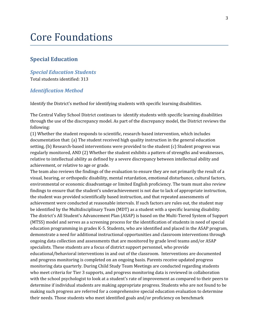## Core Foundations

## **Special Education**

#### *Special Education Students*

Total students identified: 313

#### *Identification Method*

Identify the District's method for identifying students with specific learning disabilities.

The Central Valley School District continues to identify students with specific learning disabilities through the use of the discrepancy model. As part of the discrepancy model, the District reviews the following:

(1) Whether the student responds to scientific, research-based intervention, which includes documentation that: (a) The student received high quality instruction in the general education setting, (b) Research-based interventions were provided to the student (c) Student progress was regularly monitored, AND (2) Whether the student exhibits a pattern of strengths and weaknesses, relative to intellectual ability as defined by a severe discrepancy between intellectual ability and achievement, or relative to age or grade.

The team also reviews the findings of the evaluation to ensure they are not primarily the result of a visual, hearing, or orthopedic disability, mental retardation, emotional disturbance, cultural factors, environmental or economic disadvantage or limited English proficiency. The team must also review findings to ensure that the student's underachievement is not due to lack of appropriate instruction, the student was provided scientifically based instruction, and that repeated assessments of achievement were conducted at reasonable intervals. If such factors are rules out, the student may be identified by the Multidisciplinary Team (MDT) as a student with a specific learning disability. The district's All Student's Advancement Plan (ASAP) is based on the Multi-Tiered System of Support (MTSS) model and serves as a screening process for the identification of students in need of special education programming in grades K-5. Students, who are identified and placed in the ASAP program, demonstrate a need for additional instructional opportunities and classroom interventions through ongoing data collection and assessments that are monitored by grade level teams and/or ASAP specialists. These students are a focus of district support personnel, who provide educational/behavioral interventions in and out of the classroom. Interventions are documented and progress monitoring is completed on an ongoing basis. Parents receive updated progress monitoring data quarterly. During Child Study Team Meetings are conducted regarding students who meet criteria for Tier 3 supports, and progress monitoring data is reviewed in collaboration with the school psychologist to look at a student's rate of improvement as compared to their peers to determine if individual students are making appropriate progress. Students who are not found to be making such progress are referred for a comprehensive special education evaluation to determine their needs. Those students who meet identified goals and/or proficiency on benchmark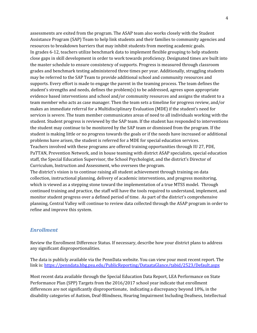assessments are exited from the program. The ASAP team also works closely with the Student Assistance Program (SAP) Team to help link students and their families to community agencies and resources to breakdown barriers that may inhibit students from meeting academic goals. In grades 6-12, teachers utilize benchmark data to implement flexible grouping to help students close gaps in skill development in order to work towards proficiency. Designated times are built into the master schedule to ensure consistency of supports. Progress is measured through classroom grades and benchmark testing administered three times per year. Additionally, struggling students may be referred to the SAP Team to provide additional school and community resources and supports. Every effort is made to engage the parent in the teaming process. The team defines the student's strengths and needs, defines the problem(s) to be addressed, agrees upon appropriate evidence based interventions and school and/or community resources and assigns the student to a team member who acts as case manager. Then the team sets a timeline for progress review, and/or makes an immediate referral for a Multidisciplinary Evaluation (MDE) if the student's need for services is severe. The team member communicates areas of need to all individuals working with the student. Student progress is reviewed by the SAP team. If the student has responded to interventions the student may continue to be monitored by the SAP team or dismissed from the program. If the student is making little or no progress towards the goals or if the needs have increased or additional problems have arisen, the student is referred for a MDE for special education services. Teachers involved with these programs are offered training opportunities through IU 27, PDE, PaTTAN, Prevention Network, and in house teaming with district ASAP specialists, special education staff, the Special Education Supervisor, the School Psychologist, and the district's Director of Curriculum, Instruction and Assessment, who oversees the program. The district's vision is to continue raising all student achievement through training on data collection, instructional planning, delivery of academic interventions, and progress monitoring, which is viewed as a stepping stone toward the implementation of a true MTSS model. Through continued training and practice, the staff will have the tools required to understand, implement, and

monitor student progress over a defined period of time. As part of the district's comprehensive planning, Central Valley will continue to review data collected through the ASAP program in order to refine and improve this system.

#### *Enrollment*

Review the Enrollment Difference Status. If necessary, describe how your district plans to address any significant disproportionalities.

The data is publicly available via the PennData website. You can view your most recent report. The link is: <https://penndata.hbg.psu.edu/PublicReporting/DataataGlance/tabid/2523/Default.aspx>

Most recent data available through the Special Education Data Report, LEA Performance on State Performance Plan (SPP) Targets from the 2016/2017 school year indicate that enrollment differences are not significantly disproportionate, indicating a discrepancy beyond 10%, in the disability categories of Autism, Deaf-Blindness, Hearing Impairment Including Deafness, Intellectual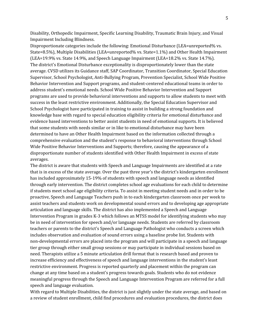Disability, Orthopedic Impairment, Specific Learning Disability, Traumatic Brain Injury, and Visual Impairment Including Blindness.

Disproportionate categories include the following: Emotional Disturbance (LEA=unreported% vs. State=8.5%), Multiple Disabilities (LEA=unreported% vs. State=1.1%) and Other Health Impairment (LEA=19.9% vs. State 14.9%, and Speech Language Impairment (LEA=18.2% vs. State 14.7%). The district's Emotional Disturbance exceptionality is disproportionately lower than the state average. CVSD utilizes its Guidance staff, SAP Coordinator, Transition Coordinator, Special Education Supervisor, School Psychologist, Anti-Bullying Program, Prevention Specialist, School Wide Positive Behavior Intervention and Support programs, and student-centered educational teams in order to address student's emotional needs. School Wide Positive Behavior Intervention and Support programs are used to provide behavioral interventions and supports to allow students to meet with success in the least restrictive environment. Additionally, the Special Education Supervisor and School Psychologist have participated in training to assist in building a strong foundation and knowledge base with regard to special education eligibility criteria for emotional disturbance and evidence based interventions to better assist students in need of emotional supports. It is believed that some students with needs similar or in like to emotional disturbance may have been determined to have an Other Health Impairment based on the information collected through a comprehensive evaluation and the student's response to behavioral interventions through School Wide Positive Behavior Interventions and Supports; therefore, causing the appearance of a disproportionate number of students identified with Other Health Impairment in excess of state averages.

The district is aware that students with Speech and Language Impairments are identified at a rate that is in excess of the state average. Over the past three year's the district's kindergarten enrollment has included approximately 15-19% of students with speech and language needs as identified through early intervention. The district completes school age evaluations for each child to determine if students meet school age eligibility criteria. To assist in meeting student needs and in order to be proactive, Speech and Language Teachers push in to each kindergarten classroom once per week to assist teachers and students work on developmental sound errors and to developing age appropriate articulation and language skills. The district has also implemented a Speech and Language Intervention Program in grades K-3 which follows an MTSS model for identifying students who may be in need of intervention for speech and/or language needs. Students are referred by classroom teachers or parents to the district's Speech and Language Pathologist who conducts a screen which includes observation and evaluation of sound errors using a baseline probe list. Students with non-developmental errors are placed into the program and will participate in a speech and language tier group through either small group sessions or may participate in individual sessions based on need. Therapists utilize a 5 minute articulation drill format that is research based and proven to increase efficiency and effectiveness of speech and language interventions in the student's least restrictive environment. Progress is reported quarterly and placement within the program can change at any time based on a student's progress towards goals. Students who do not evidence meaningful progress through the Speech and Language Intervention Program are referred for a full speech and language evaluation.

With regard to Multiple Disabilities, the district is just slightly under the state average, and based on a review of student enrollment, child find procedures and evaluation procedures, the district does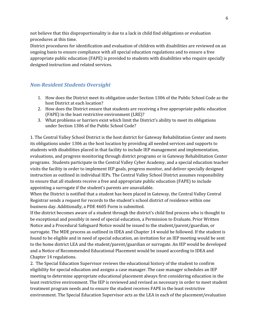not believe that this disproportionality is due to a lack in child find obligations or evaluation procedures at this time.

District procedures for identification and evaluation of children with disabilities are reviewed on an ongoing basis to ensure compliance with all special education regulations and to ensure a free appropriate public education (FAPE) is provided to students with disabilities who require specially designed instruction and related services.

## *Non-Resident Students Oversight*

- 1. How does the District meet its obligation under Section 1306 of the Public School Code as the host District at each location?
- 2. How does the District ensure that students are receiving a free appropriate public education (FAPE) in the least restrictive environment (LRE)?
- 3. What problems or barriers exist which limit the District's ability to meet its obligations under Section 1306 of the Public School Code?

1. The Central Valley School District is the host district for Gateway Rehabilitation Center and meets its obligations under 1306 as the host location by providing all needed services and supports to students with disabilities placed in that facility to include IEP management and implementation, evaluations, and progress monitoring through district programs or in Gateway Rehabilitation Center programs. Students participate in the Central Valley Cyber Academy, and a special education teacher visits the facility in order to implement IEP goals, progress monitor, and deliver specially designed instruction as outlined in individual IEPs. The Central Valley School District assumes responsibility to ensure that all students receive a free and appropriate public education (FAPE) to include appointing a surrogate if the student's parents are unavailable.

When the District is notified that a student has been placed in Gateway, the Central Valley Central Registrar sends a request for records to the student's school district of residence within one business day. Additionally, a PDE 4605 Form is submitted.

If the district becomes aware of a student through the district's child find process who is thought to be exceptional and possibly in need of special education, a Permission to Evaluate, Prior Written Notice and a Procedural Safeguard Notice would be issued to the student/parent/guardian, or surrogate. The MDE process as outlined in IDEA and Chapter 14 would be followed. If the student is found to be eligible and in need of special education, an invitation for an IEP meeting would be sent to the home district LEA and the student/parent/guardian or surrogate. An IEP would be developed and a Notice of Recommended Educational Placement would be issued according to IDEA and Chapter 14 regulations.

2. The Special Education Supervisor reviews the educational history of the student to confirm eligibility for special education and assigns a case manager. The case manager schedules an IEP meeting to determine appropriate educational placement always first considering education in the least restrictive environment. The IEP is reviewed and revised as necessary in order to meet student treatment program needs and to ensure the student receives FAPE in the least restrictive environment. The Special Education Supervisor acts as the LEA in each of the placement/evaluation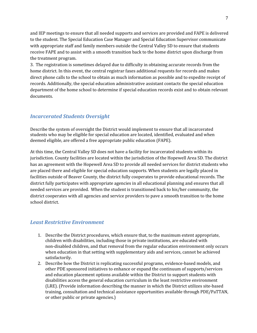and IEP meetings to ensure that all needed supports and services are provided and FAPE is delivered to the student. The Special Education Case Manager and Special Education Supervisor communicate with appropriate staff and family members outside the Central Valley SD to ensure that students receive FAPE and to assist with a smooth transition back to the home district upon discharge from the treatment program.

3. The registration is sometimes delayed due to difficulty in obtaining accurate records from the home district. In this event, the central registrar faxes additional requests for records and makes direct phone calls to the school to obtain as much information as possible and to expedite receipt of records. Additionally, the special education administrative assistant contacts the special education department of the home school to determine if special education records exist and to obtain relevant documents.

### *Incarcerated Students Oversight*

Describe the system of oversight the District would implement to ensure that all incarcerated students who may be eligible for special education are located, identified, evaluated and when deemed eligible, are offered a free appropriate public education (FAPE).

At this time, the Central Valley SD does not have a facility for incarcerated students within its jurisdiction. County facilities are located within the jurisdiction of the Hopewell Area SD. The district has an agreement with the Hopewell Area SD to provide all needed services for district students who are placed there and eligible for special education supports. When students are legally placed in facilities outside of Beaver County, the district fully cooperates to provide educational records. The district fully participates with appropriate agencies in all educational planning and ensures that all needed services are provided. When the student is transitioned back to his/her community, the district cooperates with all agencies and service providers to pave a smooth transition to the home school district.

### *Least Restrictive Environment*

- 1. Describe the District procedures, which ensure that, to the maximum extent appropriate, children with disabilities, including those in private institutions, are educated with non-disabled children, and that removal from the regular education environment only occurs when education in that setting with supplementary aids and services, cannot be achieved satisfactorily.
- 2. Describe how the District is replicating successful programs, evidence-based models, and other PDE sponsored initiatives to enhance or expand the continuum of supports/services and education placement options available within the District to support students with disabilities access the general education curriculum in the least restrictive environment (LRE). (Provide information describing the manner in which the District utilizes site-based training, consultation and technical assistance opportunities available through PDE/PaTTAN, or other public or private agencies.)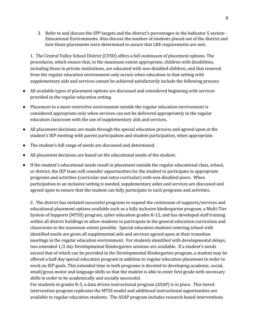3. Refer to and discuss the SPP targets and the district's percentages in the Indicator 5 section - Educational Environments. Also discuss the number of students placed out of the district and how those placements were determined to assure that LRE requirements are met.

1. The Central Valley School District (CVSD) offers a full continuum of placement options. The procedures, which ensure that, to the maximum extent appropriate, children with disabilities, including those in private institutions, are educated with non-disabled children, and that removal from the regular education environment only occurs when education in that setting with supplementary aids and services cannot be achieved satisfactorily include the following process:

- All available types of placement options are discussed and considered beginning with services provided in the regular education setting.
- Placement to a more restrictive environment outside the regular education environment is considered appropriate only when services can not be delivered appropriately in the regular education classroom with the use of supplementary aids and services.
- All placement decisions are made through the special education process and agreed upon at the student's IEP meeting with parent participation and student participation, when appropriate.
- The student's full range of needs are discussed and determined.
- All placement decisions are based on the educational needs of the student.
- If the student's educational needs result in placement outside the regular educational class, school, or district, the IEP team will consider opportunities for the student to participate in appropriate programs and activities (curricular and extra-curricular) with non-disabled peers. When participation in an inclusive setting is needed, supplementary aides and services are discussed and agreed upon to ensure that the student can fully participate in such programs and activities.

2. The district has initiated successful programs to expand the continuum of supports/services and educational placement options available such as a fully inclusive kindergarten program, a Multi-Tier System of Supports (MTSS) program, cyber education grades K-12, and has developed staff training within all district buildings to allow students to participate in the general education curriculum and classrooms to the maximum extent possible. Special education students entering school with identified needs are given all supplemental aids and services agreed upon at their transition meetings in the regular education environment. For students identified with developmental delays, two extended 1/2 day Developmental Kindergarten sessions are available. If a student's needs exceed that of which can be provided in the Developmental Kindergarten program, a student may be offered a half-day special education program in addition to regular education placement in order to work on IEP goals. This extended time in both programs is devoted to developing academic, social, small/gross motor and language skills so that the student is able to enter first grade with necessary skills in order to be academically and socially successful.

For students in grades K-5, a data driven instructional program (ASAP) is in place. This tiered intervention program replicates the MTSS model and additional instructional opportunities are available to regular education students. The ASAP program includes research based interventions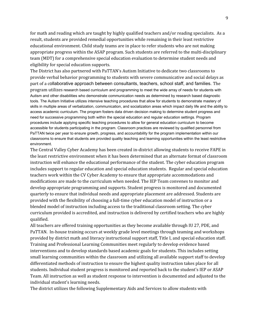for math and reading which are taught by highly qualified teachers and/or reading specialists. As a result, students are provided remedial opportunities while remaining in their least restrictive educational environment. Child study teams are in place to refer students who are not making appropriate progress within the ASAP program. Such students are referred to the multi-disciplinary team (MDT) for a comprehensive special education evaluation to determine student needs and eligibility for special education supports.

The District has also partnered with PaTTAN's Autism Initiative to dedicate two classrooms to provide verbal behavior programming to students with severe communicative and social delays as part of a collaborative approach between consultants, teachers, school staff, and families. The program utilizes research based curriculum and programming to meet the wide array of needs for students with Autism and other disabilities who demonstrate communication needs as determined by research based diagnostic tools. The Autism Initiative utilizes intensive teaching procedures that allow for students to demonstrate mastery of skills in multiple areas of verbalization, communication, and socialization areas which impact daily life and the ability to access academic curriculum. The program fosters data driven decision making to determine student progress and need for successive programming both within the special education and regular education settings. Program procedures include applying specific teaching procedures to allow for general education curriculum to become accessible for students participating in the program. Classroom practices are reviewed by qualified personnel from PaTTAN twice per year to ensure growth, progress, and accountability for the program implementation within our classrooms to ensure that students are provided quality teaching and learning opportunities within the least restrictive environment.

The Central Valley Cyber Academy has been created in-district allowing students to receive FAPE in the least restrictive environment when it has been determined that an alternate format of classroom instruction will enhance the educational performance of the student. The cyber education program includes support to regular education and special education students. Regular and special education teachers work within the CV Cyber Academy to ensure that appropriate accommodations and modifications are made to the curriculum when needed. The IEP Team convenes to monitor and develop appropriate programming and supports. Student progress is monitored and documented quarterly to ensure that individual needs and appropriate placement are addressed. Students are provided with the flexibility of choosing a full-time cyber education model of instruction or a blended model of instruction including access to the traditional classroom setting. The cyber curriculum provided is accredited, and instruction is delivered by certified teachers who are highly qualified.

All teachers are offered training opportunities as they become available through IU 27, PDE, and PaTTAN. In-house training occurs at weekly grade level meetings through teaming and workshops provided by district math and literacy instructional support staff, Title I, and special education staff. Training and Professional Learning Communities meet regularly to develop evidence based interventions and to develop standards based academic goals for students. This includes setting small learning communities within the classroom and utilizing all available support staff to develop differentiated methods of instruction to ensure the highest quality instruction takes place for all students. Individual student progress is monitored and reported back to the student's IEP or ASAP Team. All instruction as well as student response to intervention is documented and adjusted to the individual student's learning needs.

The district utilizes the following Supplementary Aids and Services to allow students with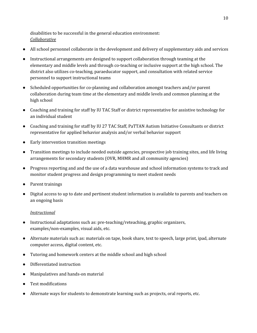disabilities to be successful in the general education environment: *Collaborative*

- All school personnel collaborate in the development and delivery of supplementary aids and services
- Instructional arrangements are designed to support collaboration through teaming at the elementary and middle levels and through co-teaching or inclusive support at the high school. The district also utilizes co-teaching, paraeducator support, and consultation with related service personnel to support instructional teams
- Scheduled opportunities for co-planning and collaboration amongst teachers and/or parent collaboration during team time at the elementary and middle levels and common planning at the high school
- Coaching and training for staff by IU TAC Staff or district representative for assistive technology for an individual student
- Coaching and training for staff by IU 27 TAC Staff, PaTTAN Autism Initiative Consultants or district representative for applied behavior analysis and/or verbal behavior support
- Early intervention transition meetings
- Transition meetings to include needed outside agencies, prospective job training sites, and life living arrangements for secondary students (OVR, MHMR and all community agencies)
- Progress reporting and and the use of a data warehouse and school information systems to track and monitor student progress and design programming to meet student needs
- Parent trainings
- Digital access to up to date and pertinent student information is available to parents and teachers on an ongoing basis

#### *Instructional*

- Instructional adaptations such as: pre-teaching/reteaching, graphic organizers, examples/non-examples, visual aids, etc.
- Alternate materials such as: materials on tape, book share, text to speech, large print, ipad, alternate computer access, digital content, etc.
- Tutoring and homework centers at the middle school and high school
- Differentiated instruction
- Manipulatives and hands-on material
- Test modifications
- Alternate ways for students to demonstrate learning such as projects, oral reports, etc.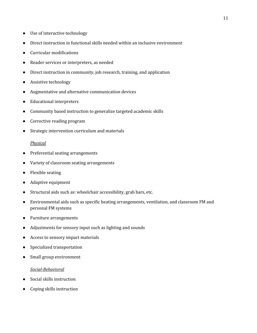- Use of interactive technology
- Direct instruction in functional skills needed within an inclusive environment
- Curricular modifications
- Reader services or interpreters, as needed
- Direct instruction in community, job research, training, and application
- Assistive technology
- Augmentative and alternative communication devices
- Educational interpreters
- Community based instruction to generalize targeted academic skills
- Corrective reading program
- Strategic intervention curriculum and materials

#### *Physical*

- Preferential seating arrangements
- Variety of classroom seating arrangements
- Flexible seating
- Adaptive equipment
- Structural aids such as: wheelchair accessibility, grab bars, etc.
- Environmental aids such as specific heating arrangements, ventilation, and classroom FM and personal FM systems
- Furniture arrangements
- Adjustments for sensory input such as lighting and sounds
- Access to sensory impact materials
- Specialized transportation
- Small group environment

#### *Social-Behavioral*

- Social skills instruction
- Coping skills instruction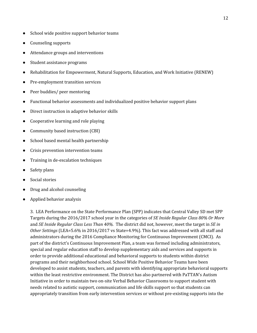- School wide positive support behavior teams
- Counseling supports
- Attendance groups and interventions
- Student assistance programs
- Rehabilitation for Empowerment, Natural Supports, Education, and Work Initiative (RENEW)
- Pre-employment transition services
- Peer buddies/ peer mentoring
- Functional behavior assessments and individualized positive behavior support plans
- Direct instruction in adaptive behavior skills
- Cooperative learning and role playing
- Community based instruction (CBI)
- School based mental health partnership
- Crisis prevention intervention teams
- Training in de-escalation techniques
- Safety plans
- Social stories
- Drug and alcohol counseling
- Applied behavior analysis

3. LEA Performance on the State Performance Plan (SPP) indicates that Central Valley SD met SPP Targets during the 2016/2017 school year in the categories of *SE Inside Regular Class 80% Or More* and *SE Inside Regular Class Less Than 40%.* The district did not, however, meet the target in *SE in Other Settings* (LEA=5.6% in 2016/2017 vs State=4.9%). This fact was addressed with all staff and administrators during the 2016 Compliance Monitoring for Continuous Improvement (CMCI). As part of the district's Continuous Improvement Plan, a team was formed including administrators, special and regular education staff to develop supplementary aids and services and supports in order to provide additional educational and behavioral supports to students within district programs and their neighborhood school. School Wide Positive Behavior Teams have been developed to assist students, teachers, and parents with identifying appropriate behavioral supports within the least restrictive environment. The District has also partnered with PaTTAN's Autism Initiative in order to maintain two on-site Verbal Behavior Classrooms to support student with needs related to autistic support, communication and life skills support so that students can appropriately transition from early intervention services or without pre-existing supports into the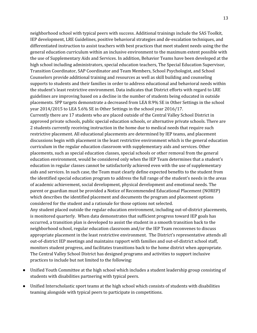neighborhood school with typical peers with success. Additional trainings include the SAS Toolkit, IEP development, LRE Guidelines, positive behavioral strategies and de-escalation techniques, and differentiated instruction to assist teachers with best practices that meet student needs using the the general education curriculum within an inclusive environment to the maximum extent possible with the use of Supplementary Aids and Services. In addition, Behavior Teams have been developed at the high school including administrators, special education teachers, The Special Education Supervisor, Transition Coordinator, SAP Coordinator and Team Members, School Psychologist, and School Counselors provide additional training and resources as well as skill building and counseling supports to students and their families in order to address educational and behavioral needs within the student's least restrictive environment. Data indicates that District efforts with regard to LRE guidelines are improving based on a decline in the number of students being educated in outside placements. SPP targets demonstrate a decreased from LEA 8.9% SE in Other Settings in the school year 2014/2015 to LEA 5.6% SE in Other Settings in the school year 2016/17.

Currently there are 17 students who are placed outside of the Central Valley School District in approved private schools, public special education schools, or alternative private schools. There are 2 students currently receiving instruction in the home due to medical needs that require such restrictive placement. All educational placements are determined by IEP teams, and placement discussions begin with placement in the least restrictive environment which is the general education curriculum in the regular education classroom with supplementary aids and services. Other placements, such as special education classes, special schools or other removal from the general education environment, would be considered only when the IEP Team determines that a student's education in regular classes cannot be satisfactorily achieved even with the use of supplementary aids and services. In such case, the Team must clearly define expected benefits to the student from the identified special education program to address the full range of the student's needs in the areas of academic achievement, social development, physical development and emotional needs. The parent or guardian must be provided a Notice of Recommended Educational Placement (NOREP) which describes the identified placement and documents the program and placement options considered for the student and a rationale for those options not selected.

Any student placed outside the regular education environment, including out-of-district placements, is monitored quarterly. When data demonstrates that sufficient progress toward IEP goals has occurred, a transition plan is developed to assist the student in a smooth transition back to the neighborhood school, regular education classroom and/or the IEP Team reconvenes to discuss appropriate placement in the least restrictive environment. The District's representative attends all out-of-district IEP meetings and maintains rapport with families and out-of-district school staff, monitors student progress, and facilitates transitions back to the home district when appropriate. The Central Valley School District has designed programs and activities to support inclusive practices to include but not limited to the following:

- Unified Youth Committee at the high school which includes a student leadership group consisting of students with disabilities partnering with typical peers.
- Unified Interscholastic sport teams at the high school which consists of students with disabilities teaming alongside with typical peers to participate in competitions.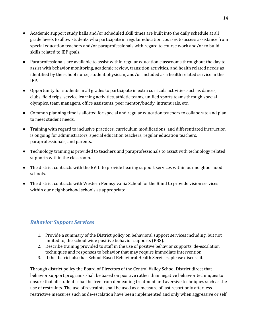- Academic support study halls and/or scheduled skill times are built into the daily schedule at all grade levels to allow students who participate in regular education courses to access assistance from special education teachers and/or paraprofessionals with regard to course work and/or to build skills related to IEP goals.
- Paraprofessionals are available to assist within regular education classrooms throughout the day to assist with behavior monitoring, academic review, transition activities, and health related needs as identified by the school nurse, student physician, and/or included as a health related service in the IEP.
- Opportunity for students in all grades to participate in extra curricula activities such as dances, clubs, field trips, service learning activities, athletic teams, unified sports teams through special olympics, team managers, office assistants, peer mentor/buddy, intramurals, etc.
- Common planning time is allotted for special and regular education teachers to collaborate and plan to meet student needs.
- Training with regard to inclusive practices, curriculum modifications, and differentiated instruction is ongoing for administrators, special education teachers, regular education teachers, paraprofessionals, and parents.
- Technology training is provided to teachers and paraprofessionals to assist with technology related supports within the classroom.
- The district contracts with the BVIU to provide hearing support services within our neighborhood schools.
- The district contracts with Western Pennsylvania School for the Blind to provide vision services within our neighborhood schools as appropriate.

### *Behavior Support Services*

- 1. Provide a summary of the District policy on behavioral support services including, but not limited to, the school wide positive behavior supports (PBS).
- 2. Describe training provided to staff in the use of positive behavior supports, de-escalation techniques and responses to behavior that may require immediate intervention.
- 3. If the district also has School-Based Behavioral Health Services, please discuss it.

Through district policy the Board of Directors of the Central Valley School District direct that behavior support programs shall be based on positive rather than negative behavior techniques to ensure that all students shall be free from demeaning treatment and aversive techniques such as the use of restraints. The use of restraints shall be used as a measure of last resort only after less restrictive measures such as de-escalation have been implemented and only when aggressive or self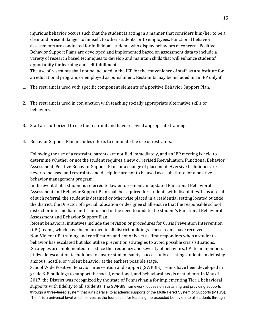injurious behavior occurs such that the student is acting in a manner that considers him/her to be a clear and present danger to himself, to other students, or to employees. Functional behavior assessments are conducted for individual students who display behaviors of concern. Positive Behavior Support Plans are developed and implemented based on assessment data to include a variety of research based techniques to develop and maintain skills that will enhance students' opportunity for learning and self-fulfillment.

The use of restraints shall not be included in the IEP for the convenience of staff, as a substitute for an educational program, or employed as punishment. Restraints may be included in an IEP only if:

- 1. The restraint is used with specific component elements of a positive Behavior Support Plan.
- 2. The restraint is used in conjunction with teaching socially appropriate alternative skills or behaviors.
- 3. Staff are authorized to use the restraint and have received appropriate training.
- 4. Behavior Support Plan includes efforts to eliminate the use of restraints.

Following the use of a restraint, parents are notified immediately, and an IEP meeting is held to determine whether or not the student requires a new or revised Reevaluation, Functional Behavior Assessment, Positive Behavior Support Plan, or a change of placement. Aversive techniques are never to be used and restraints and discipline are not to be used as a substitute for a positive behavior management program.

In the event that a student is referred to law enforcement, an updated Functional Behavioral Assessment and Behavior Support Plan shall be required for students with disabilities. If, as a result of such referral, the student is detained or otherwise placed in a residential setting located outside the district, the Director of Special Education or designee shall ensure that the responsible school district or intermediate unit is informed of the need to update the student's Functional Behavioral Assessment and Behavior Support Plan.

Recent behavioral initiatives include the revision or procedures for Crisis Prevention Intervention (CPI) teams, which have been formed in all district buildings. These teams have received Non-Violent CPI training and certification and not only act as first responders when a student's behavior has escalated but also utilize prevention strategies to avoid possible crisis situations. Strategies are implemented to reduce the frequency and severity of behaviors. CPI team members utilize de-escalation techniques to ensure student safety, successfully assisting students in defusing anxious, hostile, or violent behavior at the earliest possible stage.

School Wide Positive Behavior Intervention and Support (SWPBIS) Teams have been developed in grade K-8 buildings to support the social, emotional, and behavioral needs of students. In May of 2017, the District was recognized by the state of Pennsylvania for implementing Tier 1 behavioral supports with fidelity to all students. The SWPBIS framework focuses on sustaining and providing supports through a three-tiered system that runs parallel to academic supports of the Multi-Tiered System of Supports (MTSS). Tier 1 is a universal level which serves as the foundation for teaching the expected behaviors to all students through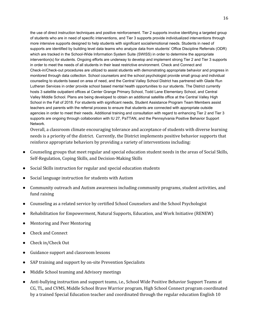the use of direct instruction techniques and positive reinforcement. Tier 2 supports involve identifying a targeted group of students who are in need of specific interventions, and Tier 3 supports provide individualized interventions through more intensive supports designed to help students with significant social/emotional needs. Students in need of supports are identified by building level data teams who analyze data from students' Office Discipline Referrals (ODR) which are tracked in the School-Wide Information System Suite (SWISS) in order to determine the appropriate intervention(s) for students. Ongoing efforts are underway to develop and implement strong Tier 2 and Tier 3 supports in order to meet the needs of all students in their least restrictive environment. Check and Connect and Check-in/Check-out procedures are utilized to assist students with demonstrating appropriate behavior and progress in monitored through data collection. School counselors and the school psychologist provide small group and individual counseling to students based on area of need, and the Central Valley School District has partnered with Glade Run Lutheran Services in order provide school based mental health opportunities to our students. The District currently hosts 3 satellite outpatient offices at Center Grange Primary School, Todd Lane Elementary School, and Central Valley Middle School. Plans are being developed to obtain an additional satellite office at the Central Valley High School in the Fall of 2018. For students with significant needs, Student Assistance Program Team Members assist teachers and parents with the referral process to ensure that students are connected with appropriate outside agencies in order to meet their needs. Additional training and consultation with regard to enhancing Tier 2 and Tier 3 supports are ongoing through collaboration with IU 27, PaTTAN, and the Pennsylvania Positive Behavior Support Network.

Overall, a classroom climate encouraging tolerance and acceptance of students with diverse learning needs is a priority of the district. Currently, the District implements positive behavior supports that reinforce appropriate behaviors by providing a variety of interventions including:

- Counseling groups that meet regular and special education student needs in the areas of Social Skills, Self-Regulation, Coping Skills, and Decision-Making Skills
- Social Skills instruction for regular and special education students
- Social language instruction for students with Autism
- Community outreach and Autism awareness including community programs, student activities, and fund raising
- Counseling as a related service by certified School Counselors and the School Psychologist
- Rehabilitation for Empowerment, Natural Supports, Education, and Work Initiative (RENEW)
- Mentoring and Peer Mentoring
- **Check and Connect**
- Check in/Check Out
- Guidance support and classroom lessons
- SAP training and support by on-site Prevention Specialists
- Middle School teaming and Advisory meetings
- Anti-bullying instruction and support teams, i.e., School Wide Positive Behavior Support Teams at CG, TL, and CVMS, Middle School Brave Warrior program, High School Connect program coordinated by a trained Special Education teacher and coordinated through the regular education English 10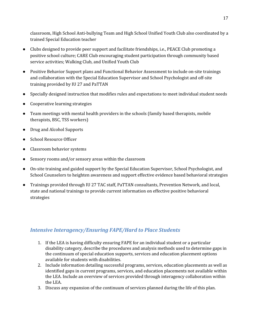classroom, High School Anti-bullying Team and High School Unified Youth Club also coordinated by a trained Special Education teacher

- Clubs designed to provide peer support and facilitate friendships, i.e., PEACE Club promoting a positive school culture; CARE Club encouraging student participation through community based service activities; Walking Club, and Unified Youth Club
- Positive Behavior Support plans and Functional Behavior Assessment to include on-site trainings and collaboration with the Special Education Supervisor and School Psychologist and off-site training provided by IU 27 and PaTTAN
- Specially designed instruction that modifies rules and expectations to meet individual student needs
- Cooperative learning strategies
- Team meetings with mental health providers in the schools (family based therapists, mobile therapists, BSC, TSS workers)
- Drug and Alcohol Supports
- School Resource Officer
- Classroom behavior systems
- Sensory rooms and/or sensory areas within the classroom
- On-site training and guided support by the Special Education Supervisor, School Psychologist, and School Counselors to heighten awareness and support effective evidence based behavioral strategies
- Trainings provided through IU 27 TAC staff, PaTTAN consultants, Prevention Network, and local, state and national trainings to provide current information on effective positive behavioral strategies

## *Intensive Interagency/Ensuring FAPE/Hard to Place Students*

- 1. If the LEA is having difficulty ensuring FAPE for an individual student or a particular disability category, describe the procedures and analysis methods used to determine gaps in the continuum of special education supports, services and education placement options available for students with disabilities.
- 2. Include information detailing successful programs, services, education placements as well as identified gaps in current programs, services, and education placements not available within the LEA. Include an overview of services provided through interagency collaboration within the LEA.
- 3. Discuss any expansion of the continuum of services planned during the life of this plan.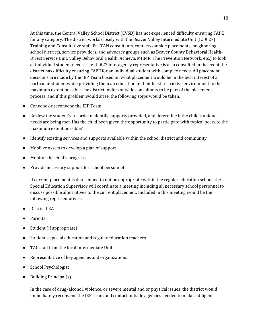At this time, the Central Valley School District (CVSD) has not experienced difficulty ensuring FAPE for any category. The district works closely with the Beaver Valley Intermediate Unit (IU # 27) Training and Consultative staff, PaTTAN consultants, contacts outside placements, neighboring school districts, service providers, and advocacy groups such as Beaver County Behavioral Health-Direct Service Unit, Valley Behavioral Health, Achieva, MHMR, The Prevention Network, etc.) to look at individual student needs. The IU #27 interagency representative is also consulted in the event the district has difficulty ensuring FAPE for an individual student with complex needs. All placement decisions are made by the IEP Team based on what placement would be in the best interest of a particular student while providing them an education in their least restrictive environment to the maximum extent possible.The district invites outside consultants to be part of the placement process, and if this problem would arise, the following steps would be taken:

- Convene or reconvene the IEP Team
- Review the student's records to identify supports provided, and determine if the child's unique needs are being met. Has the child been given the opportunity to participate with typical peers to the maximum extent possible?
- Identify existing services and supports available within the school district and community
- Mobilize assets to develop a plan of support
- Monitor the child's progress
- Provide necessary support for school personnel

If current placement is determined to not be appropriate within the regular education school, the Special Education Supervisor will coordinate a meeting including all necessary school personnel to discuss possible alternatives to the current placement. Included in this meeting would be the following representatives:

- District LEA
- **Parents**
- Student (if appropriate)
- Student's special education and regular education teachers
- TAC staff from the local Intermediate Unit
- Representative of key agencies and organizations
- School Psychologist
- Building Principal(s)

In the case of drug/alcohol, violence, or severe mental and or physical issues, the district would immediately reconvene the IEP Team and contact outside agencies needed to make a diligent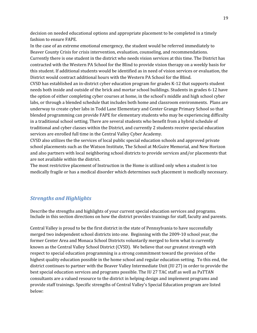decision on needed educational options and appropriate placement to be completed in a timely fashion to ensure FAPE.

In the case of an extreme emotional emergency, the student would be referred immediately to Beaver County Crisis for crisis intervention, evaluation, counseling, and recommendations. Currently there is one student in the district who needs vision services at this time. The District has contracted with the Western PA School for the Blind to provide vision therapy on a weekly basis for this student. If additional students would be identified as in need of vision services or evaluation, the District would contract additional hours with the Western PA School for the Blind.

CVSD has established an in-district cyber education program for grades K-12 that supports student needs both inside and outside of the brick and mortar school buildings. Students in grades 6-12 have the option of either completing cyber courses at home, in the school's middle and high school cyber labs, or through a blended schedule that includes both home and classroom environments. Plans are underway to create cyber labs in Todd Lane Elementary and Center Grange Primary School so that blended programming can provide FAPE for elementary students who may be experiencing difficulty in a traditional school setting. There are several students who benefit from a hybrid schedule of traditional and cyber classes within the District, and currently 2 students receive special education services are enrolled full time in the Central Valley Cyber Academy.

CVSD also utilizes the the services of local public special education schools and approved private school placements such as the Watson Institute, The School at McGuire Memorial, and New Horizon and also partners with local neighboring school districts to provide services and/or placements that are not available within the district.

The most restrictive placement of Instruction in the Home is utilized only when a student is too medically fragile or has a medical disorder which determines such placement is medically necessary.

## *Strengths and Highlights*

Describe the strengths and highlights of your current special education services and programs. Include in this section directions on how the district provides trainings for staff, faculty and parents.

Central Valley is proud to be the first district in the state of Pennsylvania to have successfully merged two independent school districts into one. Beginning with the 2009-10 school year, the former Center Area and Monaca School Districts voluntarily merged to form what is currently known as the Central Valley School District (CVSD). We believe that our greatest strength with respect to special education programming is a strong commitment toward the provision of the highest quality education possible in the home school and regular education setting. To this end, the district continues to partner with the Beaver Valley Intermediate Unit (IU 27) in order to provide the best special education services and programs possible. The IU 27 TAC staff as well as PaTTAN consultants are a valued resource to the district in helping design and implement programs and provide staff trainings. Specific strengths of Central Valley's Special Education program are listed below: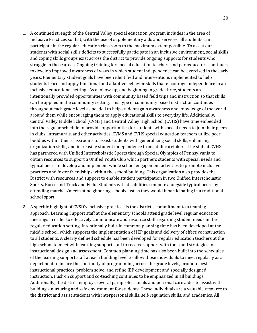- 1. A continued strength of the Central Valley special education program includes in the area of Inclusive Practices so that, with the use of supplementary aids and services, all students can participate in the regular education classroom to the maximum extent possible. To assist our students with social skills deficits to successfully participate in an inclusive environment, social skills and coping skills groups exist across the district to provide ongoing supports for students who struggle in those areas. Ongoing training for special education teachers and paraeducators continues to develop improved awareness of ways in which student independence can be exercised in the early years. Elementary student goals have been identified and interventions implemented to help students learn and apply functional and adaptive behavior skills that encourage independence in an inclusive educational setting. As a follow-up, and beginning in grade three, students are intentionally provided opportunities with community based field trips and instruction so that skills can be applied in the community setting. This type of community based instruction continues throughout each grade level as needed to help students gain awareness and knowledge of the world around them while encouraging them to apply educational skills to everyday life. Additionally, Central Valley Middle School (CVMS) and Central Valley High School (CVHS) have time embedded into the regular schedule to provide opportunities for students with special needs to join their peers in clubs, intramurals, and other activities. CVMS and CVHS special education teachers utilize peer buddies within their classrooms to assist students with generalizing social skills, enhancing organization skills, and increasing student independence from adult caretakers. The staff at CVHS has partnered with Unified Interscholastic Sports through Special Olympics of Pennsylvania to obtain resources to support a Unified Youth Club which partners students with special needs and typical peers to develop and implement whole school engagement activities to promote inclusive practices and foster friendships within the school building. This organization also provides the District with resources and support to enable student participation in two Unified Interscholastic Sports, Bocce and Track and Field. Students with disabilities compete alongside typical peers by attending matches/meets at neighboring schools just as they would if participating in a traditional school sport.
- 2. A specific highlight of CVSD's inclusive practices is the district's commitment to a teaming approach. Learning Support staff at the elementary schools attend grade level regular education meetings in order to effectively communicate and resource staff regarding student needs in the regular education setting. Intentionally built-in common planning time has been developed at the middle school, which supports the implementation of IEP goals and delivery of effective instruction to all students. A clearly defined schedule has been developed for regular education teachers at the high school to meet with learning support staff to receive support with tools and strategies for instructional design and assessment. Common planning time has also been built into the schedules of the learning support staff at each building level to allow those individuals to meet regularly as a department to insure the continuity of programming across the grade levels, promote best instructional practices, problem solve, and refine IEP development and specially designed instruction. Push-in support and co-teaching continues to be emphasized in all buildings. Additionally, the district employs several paraprofessionals and personal care aides to assist with building a nurturing and safe environment for students. These individuals are a valuable resource to the district and assist students with interpersonal skills, self-regulation skills, and academics. All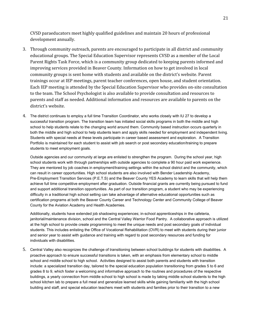CVSD paraeducators meet highly qualified guidelines and maintain 20 hours of professional development annually.

- 3. Through community outreach, parents are encouraged to participate in all district and community educational groups. The Special Education Supervisor represents CVSD as a member of the Local Parent Rights Task Force, which is a community group dedicated to keeping parents informed and improving services provided in Beaver County. Information on how to get involved in local community groups is sent home with students and available on the district's website. Parent trainings occur at IEP meetings, parent teacher conferences, open house, and student orientation. Each IEP meeting is attended by the Special Education Supervisor who provides on-site consultation to the team. The School Psychologist is also available to provide consultation and resources to parents and staff as needed. Additional information and resources are available to parents on the district's website.
- 4. The district continues to employ a full time Transition Coordinator, who works closely with IU 27 to develop a successful transition program. The transition team has initiated social skills programs in both the middle and high school to help students relate to the changing world around them. Community based instruction occurs quarterly in both the middle and high school to help students learn and apply skills needed for employment and independent living. Students with special needs at these levels participate in career based assessment and exploration. A Transition Portfolio is maintained for each student to assist with job search or post secondary education/training to prepare students to meet employment goals.

Outside agencies and our community at large are enlisted to strengthen the program. During the school year, high school students work with through partnerships with outside agencies to complete a 90 hour paid work experience. They are mentored by job coaches in employment/training settings within the school district and the community, which can result in career opportunities. High school students are also involved with Bender Leadership Academy, Pre-Employment Transition Services (P.E.T.S) and the Beaver County YES Academy to learn skills that will help them achieve full time competitive employment after graduation. Outside financial grants are currently being pursued to fund and support additional transition opportunities. As part of our transition program, a student who may be experiencing difficulty in a traditional high school setting can take advantage of alternative educational opportunities such as certification programs at both the Beaver County Career and Technology Center and Community College of Beaver County for the Aviation Academy and Health Academies.

Additionally, students have extended job shadowing experiences; in-school apprenticeships in the cafeteria, janitorial/maintenance division, school and the Central Valley Warrior Food Pantry. A collaborative approach is utilized at the high school to provide create programming to meet the unique needs and post secondary goals of individual students. This includes enlisting the Office of Vocational Rehabilitation (OVR) to meet with students during their junior and senior year to assist with guidance and training with regard to post secondary resources and funding for individuals with disabilities.

5. Central Valley also recognizes the challenge of transitioning between school buildings for students with disabilities. A proactive approach to ensure successful transitions is taken, with an emphasis from elementary school to middle school and middle school to high school. Activities designed to assist both parents and students with transition include: a specialized transition day, tailored to the special education population transitioning from grades 5 to 6 and grades 8 to 9, which foster a welcoming and informative approach to the routines and procedures of the respective buildings, a yearly connection from middle school to high school is made by taking middle school students to the high school kitchen lab to prepare a full meal and generalize learned skills while gaining familiarity with the high school building and staff, and special education teachers meet with students and families prior to their transition to a new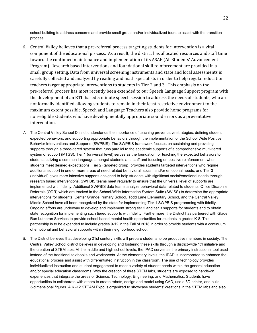school building to address concerns and provide small group and/or individualized tours to assist with the transition process.

- 6. Central Valley believes that a pre-referral process targeting students for intervention is a vital component of the educational process. As a result, the district has allocated resources and staff time toward the continued maintenance and implementation of its ASAP (All Students' Advancement Program). Research based interventions and foundational skill reinforcement are provided in a small group setting. Data from universal screening instruments and state and local assessments is carefully collected and analyzed by reading and math specialists in order to help regular education teachers target appropriate interventions to students in Tier 2 and 3. This emphasis on the pre-referral process has most recently been extended to our Speech Language Support program with the development of an RTII based 5 minute speech session to address the needs of students, who are not formally identified allowing students to remain in their least restrictive environment to the maximum extent possible. Speech and Language Teachers also provide home programs for non-eligible students who have developmentally appropriate sound errors as a preventative intervention.
- 7. The Central Valley School District understands the importance of teaching preventative strategies, defining student expected behaviors, and supporting appropriate behaviors through the implementation of the School Wide Positive Behavior Interventions and Supports (SWPBIS). The SWPBIS framework focuses on sustaining and providing supports through a three-tiered system that runs parallel to the academic supports of a comprehensive multi-tiered system of support (MTSS). Tier 1 (universal level) serves as the foundation for teaching the expected behaviors to students utilizing a common language amongst students and staff and focusing on positive reinforcement when students meet desired expectations. Tier 2 (targeted group) provides students targeted interventions who require additional support in one or more areas of need related behavioral, social, and/or emotional needs, and Tier 3 (individual) gives more intensive supports designed to help students with significant social/emotional needs through research based interventions. SWPBIS teams meet regularly to ensure that the universal level of supports are implemented with fidelity. Additional SWPBIS data teams analyze behavioral data related to students' Office Discipline Referrals (ODR) which are tracked in the School-Wide Information System Suite (SWISS) to determine the appropriate interventions for students. Center Grange Primary School, Todd Lane Elementary School, and the Central Valley Middle School have all been recognized by the state for implementing Tier 1 SWPBIS programming with fidelity. Ongoing efforts are underway to develop and implement strong tier 2 and tier 3 supports for students and to obtain state recognition for implementing such tiered supports with fidelity. Furthermore, the District has partnered with Glade Run Lutheran Services to provide school based mental health opportunities for students in grades K-8. This partnership is to be expanded to include grades 9-12 in the Fall of 2018 in order to provide students with a continuum of emotional and behavioral supports within their neighborhood school.
- 8. The District believes that developing 21st century skills will prepare students to be productive members in society. The Central Valley School district believes in developing and fostering these skills through a district-wide 1:1 initiative and the creation of STEM labs. At the middle and high school levels, the IPAD serves as the primary instructional tool used instead of the traditional textbooks and worksheets. At the elementary levels, the IPAD is incorporated to enhance the educational process and assist with differentiated instruction in the classroom. The use of technology provides individualized instruction and student engagement to meet a variety of student needs within the general education and/or special education classrooms. With the creation of three STEM labs, students are exposed to hands-on experiences that integrate the areas of Science, Technology, Engineering, and Mathematics. Students have opportunities to collaborate with others to create robots, design and model using CAD, use a 3D printer, and build 3-dimensional figures. A K -12 STEAM Expo is organized to showcase students' creations in the STEM labs and also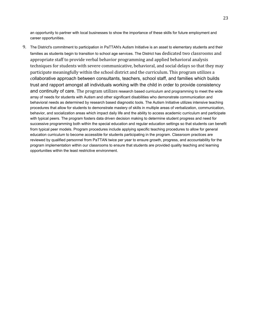an opportunity to partner with local businesses to show the importance of these skills for future employment and career opportunities.

9. The District's commitment to participation in PaTTAN's Autism Initiative is an asset to elementary students and their families as students begin to transition to school age services. The District has dedicated two classrooms and appropriate staff to provide verbal behavior programming and applied behavioral analysis techniques for students with severe communicative, behavioral, and social delays so that they may participate meaningfully within the school district and the curriculum. This program utilizes a collaborative approach between consultants, teachers, school staff, and families which builds trust and rapport amongst all individuals working with the child in order to provide consistency and continuity of care. The program utilizes research based curriculum and programming to meet the wide array of needs for students with Autism and other significant disabilities who demonstrate communication and behavioral needs as determined by research based diagnostic tools. The Autism Initiative utilizes intensive teaching procedures that allow for students to demonstrate mastery of skills in multiple areas of verbalization, communication, behavior, and socialization areas which impact daily life and the ability to access academic curriculum and participate with typical peers. The program fosters data driven decision making to determine student progress and need for successive programming both within the special education and regular education settings so that students can benefit from typical peer models. Program procedures include applying specific teaching procedures to allow for general education curriculum to become accessible for students participating in the program. Classroom practices are reviewed by qualified personnel from PaTTAN twice per year to ensure growth, progress, and accountability for the program implementation within our classrooms to ensure that students are provided quality teaching and learning opportunities within the least restrictive environment.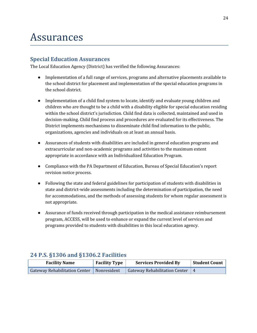## Assurances

## **Special Education Assurances**

The Local Education Agency (District) has verified the following Assurances:

- Implementation of a full range of services, programs and alternative placements available to the school district for placement and implementation of the special education programs in the school district.
- Implementation of a child find system to locate, identify and evaluate young children and children who are thought to be a child with a disability eligible for special education residing within the school district's jurisdiction. Child find data is collected, maintained and used in decision-making. Child find process and procedures are evaluated for its effectiveness. The District implements mechanisms to disseminate child find information to the public, organizations, agencies and individuals on at least an annual basis.
- Assurances of students with disabilities are included in general education programs and extracurricular and non-academic programs and activities to the maximum extent appropriate in accordance with an Individualized Education Program.
- Compliance with the PA Department of Education, Bureau of Special Education's report revision notice process.
- Following the state and federal guidelines for participation of students with disabilities in state and district-wide assessments including the determination of participation, the need for accommodations, and the methods of assessing students for whom regular assessment is not appropriate.
- Assurance of funds received through participation in the medical assistance reimbursement program, ACCESS, will be used to enhance or expand the current level of services and programs provided to students with disabilities in this local education agency.

## **24 P.S. §1306 and §1306.2 Facilities**

| <b>Facility Type</b><br><b>Facility Name</b> |  | <b>Services Provided By</b>                   | <b>Student Count</b> |  |
|----------------------------------------------|--|-----------------------------------------------|----------------------|--|
| Gateway Rehabilitation Center   Nonresident  |  | Gateway Rehabilitation Center $\vert 4 \vert$ |                      |  |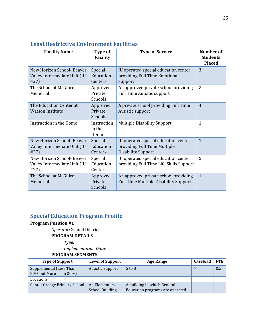| <b>Facility Name</b>                                               | Type of<br><b>Facility</b>      | <b>Type of Service</b>                                                                            | <b>Number of</b><br><b>Students</b><br><b>Placed</b> |
|--------------------------------------------------------------------|---------------------------------|---------------------------------------------------------------------------------------------------|------------------------------------------------------|
| New Horizon School- Beaver<br>Valley Intermediate Unit (IU<br>#27) | Special<br>Education<br>Centers | IU operated special education center<br>providing Full Time Emotional<br>Support                  | 3                                                    |
| The School at McGuire<br>Memorial                                  | Approved<br>Private<br>Schools  | An approved private school providing<br><b>Full Time Autistic support</b>                         | $\overline{2}$                                       |
| The Education Center at<br><b>Watson Institute</b>                 | Approved<br>Private<br>Schools  | A private school providing Full Time<br>Autistic support                                          | $\overline{4}$                                       |
| Instruction in the Home                                            | Instruction<br>in the<br>Home   | <b>Multiple Disability Support</b>                                                                | $\mathbf{1}$                                         |
| New Horizon School- Beaver<br>Valley Intermediate Unit (IU<br>#27) | Special<br>Education<br>Centers | IU operated special education center<br>providing Full Time Multiple<br><b>Disability Support</b> | $\mathbf{1}$                                         |
| New Horizon School- Beaver<br>Valley Intermediate Unit (IU<br>#27) | Special<br>Education<br>Centers | IU operated special education center<br>providing Full Time Life Skills Support                   | 5                                                    |
| The School at McGuire<br>Memorial                                  | Approved<br>Private<br>Schools  | An approved private school providing<br><b>Full Time Multiple Disability Support</b>              | $\mathbf{1}$                                         |

## **Least Restrictive Environment Facilities**

## **Special Education Program Profile**

### **Program Position #1**

*Operator:* School District **PROGRAM DETAILS**

*Type:*

*Implementation Date:*

| <b>Type of Support</b>                            | <b>Level of Support</b> | <b>Age Range</b>                | <b>Caseload</b> | <b>FTE</b> |
|---------------------------------------------------|-------------------------|---------------------------------|-----------------|------------|
| Supplemental (Less Than<br>80% but More Than 20%) | <b>Autistic Support</b> | $5$ to $8$                      | $\overline{4}$  | 0.5        |
| Locations:                                        |                         |                                 |                 |            |
| Center Grange Primary School                      | An Elementary           | A building in which General     |                 |            |
|                                                   | <b>School Building</b>  | Education programs are operated |                 |            |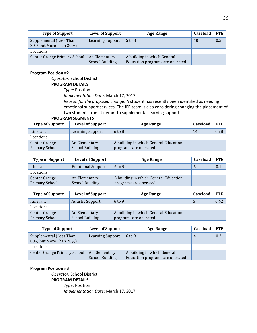| <b>Type of Support</b>                            | <b>Level of Support</b> | Age Range                       | Caseload | <b>FTE</b> |
|---------------------------------------------------|-------------------------|---------------------------------|----------|------------|
| Supplemental (Less Than<br>80% but More Than 20%) | <b>Learning Support</b> | $5$ to $8$                      | 10       | 0.5        |
| Locations:                                        |                         |                                 |          |            |
| <b>Center Grange Primary School</b>               | An Elementary           | A building in which General     |          |            |
|                                                   | <b>School Building</b>  | Education programs are operated |          |            |

*Operator:* School District

**PROGRAM DETAILS**

*Type:* Position

*Implementation Date:* March 17, 2017

*Reason for the proposed change:* A student has recently been identified as needing emotional support services. The IEP team is also considering changing the placement of two students from itinerant to supplemental learning support.

#### **PROGRAM SEGMENTS**

| <b>Type of Support</b>          | <b>Level of Support</b>                 | Age Range                                                      | Caseload | <b>FTE</b> |
|---------------------------------|-----------------------------------------|----------------------------------------------------------------|----------|------------|
| Itinerant                       | Learning Support                        | $6 \text{ to } 8$                                              | 14       | 0.28       |
| Locations:                      |                                         |                                                                |          |            |
| Center Grange<br>Primary School | An Elementary<br><b>School Building</b> | A building in which General Education<br>programs are operated |          |            |

| <b>Type of Support</b> | <b>Level of Support</b>  | <b>Age Range</b>                      | Caseload | <b>FTE</b> |
|------------------------|--------------------------|---------------------------------------|----------|------------|
| Itinerant              | <b>Emotional Support</b> | $6$ to 9                              |          | 0.1        |
| Locations:             |                          |                                       |          |            |
| Center Grange          | An Elementary            | A building in which General Education |          |            |
| Primary School         | <b>School Building</b>   | programs are operated                 |          |            |

| <b>Type of Support</b> | <b>Level of Support</b> | Age Range                             | <b>Caseload</b> | <b>FTE</b> |
|------------------------|-------------------------|---------------------------------------|-----------------|------------|
| Itinerant              | <b>Autistic Support</b> | $6 \text{ to } 9$                     |                 | 0.42       |
| Locations:             |                         |                                       |                 |            |
| Center Grange          | An Elementary           | A building in which General Education |                 |            |
| Primary School         | <b>School Building</b>  | programs are operated                 |                 |            |

| <b>Type of Support</b>                            | <b>Level of Support</b> | <b>Age Range</b>                | Caseload       | FTE |
|---------------------------------------------------|-------------------------|---------------------------------|----------------|-----|
| Supplemental (Less Than<br>80% but More Than 20%) | <b>Learning Support</b> | $6 \text{ to } 9$               | $\overline{4}$ | 0.2 |
| Locations:                                        |                         |                                 |                |     |
| Center Grange Primary School                      | An Elementary           | A building in which General     |                |     |
|                                                   | <b>School Building</b>  | Education programs are operated |                |     |

#### **Program Position #3**

*Operator:* School District **PROGRAM DETAILS** *Type:* Position *Implementation Date:* March 17, 2017 26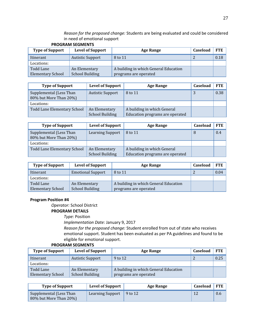*Reason for the proposed change:* Students are being evaluated and could be considered in need of emotional support **PROGRAM SEGMENTS**

|                          | <b>PRUGRAIVI SEGIVIEN IS</b> |                                       |          |            |
|--------------------------|------------------------------|---------------------------------------|----------|------------|
| <b>Type of Support</b>   | <b>Level of Support</b>      | <b>Age Range</b>                      | Caseload | <b>FTE</b> |
| Itinerant                | <b>Autistic Support</b>      | 8 to 11                               |          | 0.18       |
| Locations:               |                              |                                       |          |            |
| Todd Lane                | An Elementary                | A building in which General Education |          |            |
| <b>Elementary School</b> | <b>School Building</b>       | programs are operated                 |          |            |

| <b>Type of Support</b>                            | <b>Level of Support</b> | Age Range                       | Caseload | <b>FTE</b> |
|---------------------------------------------------|-------------------------|---------------------------------|----------|------------|
| Supplemental (Less Than<br>80% but More Than 20%) | <b>Autistic Support</b> | 8 to 11                         |          | 0.38       |
| Locations:                                        |                         |                                 |          |            |
| Todd Lane Elementary School                       | An Elementary           | A building in which General     |          |            |
|                                                   | <b>School Building</b>  | Education programs are operated |          |            |

| <b>Type of Support</b>                            | <b>Level of Support</b>                 | Age Range                                                      | Caseload | <b>FTE</b> |
|---------------------------------------------------|-----------------------------------------|----------------------------------------------------------------|----------|------------|
| Supplemental (Less Than<br>80% but More Than 20%) | <b>Learning Support</b>                 | 8 to 11                                                        |          | 0.4        |
| Locations:                                        |                                         |                                                                |          |            |
| Todd Lane Elementary School                       | An Elementary<br><b>School Building</b> | A building in which General<br>Education programs are operated |          |            |

| <b>Type of Support</b>   | <b>Level of Support</b>  | Age Range                             | Caseload   | <b>FTE</b> |
|--------------------------|--------------------------|---------------------------------------|------------|------------|
| Itinerant                | <b>Emotional Support</b> | 8 to 11                               | $\epsilon$ | 0.04       |
| Locations:               |                          |                                       |            |            |
| Todd Lane                | An Elementary            | A building in which General Education |            |            |
| <b>Elementary School</b> | <b>School Building</b>   | programs are operated                 |            |            |

#### **Program Position #4**

*Operator:* School District

#### **PROGRAM DETAILS**

*Type:* Position

*Implementation Date:* January 9, 2017

*Reason for the proposed change:* Student enrolled from out of state who receives emotional support. Student has been evaluated as per PA guidelines and found to be eligible for emotional support.

| <b>Type of Support</b>                | <b>Level of Support</b>                 | <b>Age Range</b>                                               | Caseload | <b>FTE</b> |
|---------------------------------------|-----------------------------------------|----------------------------------------------------------------|----------|------------|
| Itinerant                             | <b>Autistic Support</b>                 | 9 to 12                                                        |          | 0.25       |
| Locations:                            |                                         |                                                                |          |            |
| Todd Lane<br><b>Elementary School</b> | An Elementary<br><b>School Building</b> | A building in which General Education<br>programs are operated |          |            |

| <b>Type of Support</b>                            | <b>Level of Support</b> | Age Range | Caseload | $^{\prime}$ FTE |
|---------------------------------------------------|-------------------------|-----------|----------|-----------------|
| Supplemental (Less Than<br>80% but More Than 20%) | <b>Learning Support</b> | 9 to 12   |          | 0.6             |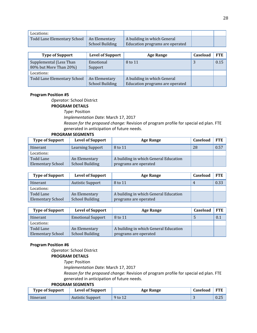| Locations:                  |                                         |                                                                |  |
|-----------------------------|-----------------------------------------|----------------------------------------------------------------|--|
| Todd Lane Elementary School | An Elementary<br><b>School Building</b> | A building in which General<br>Education programs are operated |  |

| <b>Type of Support</b>                            | <b>Level of Support</b>                 | <b>Age Range</b>                                               | Caseload | <b>FTE</b> |
|---------------------------------------------------|-----------------------------------------|----------------------------------------------------------------|----------|------------|
| Supplemental (Less Than<br>80% but More Than 20%) | Emotional<br>Support                    | 8 to 11                                                        |          | 0.15       |
| Locations:                                        |                                         |                                                                |          |            |
| <b>Todd Lane Elementary School</b>                | An Elementary<br><b>School Building</b> | A building in which General<br>Education programs are operated |          |            |

*Operator:* School District

#### **PROGRAM DETAILS**

*Type:* Position

*Implementation Date:* March 17, 2017

*Reason for the proposed change:* Revision of program profile for special ed plan. FTE generated in anticipation of future needs.

#### **PROGRAM SEGMENTS**

| <b>Type of Support</b>   | <b>Level of Support</b> | Age Range                             | Caseload | FTE  |
|--------------------------|-------------------------|---------------------------------------|----------|------|
| Itinerant                | Learning Support        | 8 to 11                               | 28       | 0.57 |
| Locations:               |                         |                                       |          |      |
| Todd Lane                | An Elementary           | A building in which General Education |          |      |
| <b>Elementary School</b> | <b>School Building</b>  | programs are operated                 |          |      |

| <b>Type of Support</b>   | <b>Level of Support</b> | <b>Age Range</b>                      | <b>Caseload</b> | <b>FTE</b> |
|--------------------------|-------------------------|---------------------------------------|-----------------|------------|
| Itinerant                | <b>Autistic Support</b> | 8 to 11                               | 4               | 0.33       |
| Locations:               |                         |                                       |                 |            |
| Todd Lane                | An Elementary           | A building in which General Education |                 |            |
| <b>Elementary School</b> | <b>School Building</b>  | programs are operated                 |                 |            |

| <b>Type of Support</b>   | <b>Level of Support</b>  | Age Range                             | Caseload | <b>FTE</b> |
|--------------------------|--------------------------|---------------------------------------|----------|------------|
| Itinerant                | <b>Emotional Support</b> | 8 to 11                               |          | 0.1        |
| Locations:               |                          |                                       |          |            |
| Todd Lane                | An Elementary            | A building in which General Education |          |            |
| <b>Elementary School</b> | <b>School Building</b>   | programs are operated                 |          |            |

#### **Program Position #6**

*Operator:* School District **PROGRAM DETAILS**

*Type:* Position

*Implementation Date:* March 17, 2017

*Reason for the proposed change:* Revision of program profile for special ed plan. FTE generated in anticipation of future needs.

| <b>Type of Support</b> | <b>Level of Support</b> | <b>Age Range</b> | <b>Caseload</b> | <b>FTE</b> |
|------------------------|-------------------------|------------------|-----------------|------------|
| Itinerant              | <b>Autistic Support</b> | 9 to 12          |                 | 0.4c       |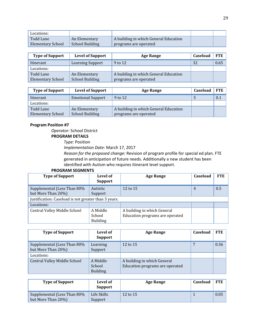| Locations:        |                        |                                       |  |
|-------------------|------------------------|---------------------------------------|--|
| Todd Lane         | An Elementary          | A building in which General Education |  |
| Elementary School | <b>School Building</b> | programs are operated                 |  |

| <b>Type of Support</b>   | <b>Level of Support</b> | <b>Age Range</b>                      | <b>Caseload</b> | <b>FTE</b> |
|--------------------------|-------------------------|---------------------------------------|-----------------|------------|
| Itinerant                | Learning Support        | 9 to 12                               | 32              | 0.65       |
| Locations:               |                         |                                       |                 |            |
| Todd Lane                | An Elementary           | A building in which General Education |                 |            |
| <b>Elementary School</b> | <b>School Building</b>  | programs are operated                 |                 |            |

| <b>Type of Support</b>   | <b>Level of Support</b>  | Age Range                             | <b>Caseload</b> | <b>FTE</b> |
|--------------------------|--------------------------|---------------------------------------|-----------------|------------|
| Itinerant                | <b>Emotional Support</b> | 9 to 12                               |                 | 0.1        |
| Locations:               |                          |                                       |                 |            |
| Todd Lane                | An Elementary            | A building in which General Education |                 |            |
| <b>Elementary School</b> | <b>School Building</b>   | programs are operated                 |                 |            |

*Operator:* School District **PROGRAM DETAILS**

*Type:* Position

*Implementation Date:* March 17, 2017

*Reason for the proposed change:* Revision of program profile for special ed plan. FTE generated in anticipation of future needs. Additionally a new student has been identified with Autism who requires itinerant level support.

| <b>Type of Support</b>                               | Level of<br><b>Support</b>            | <b>Age Range</b>                                               | Caseload | <b>FTE</b> |
|------------------------------------------------------|---------------------------------------|----------------------------------------------------------------|----------|------------|
| Supplemental (Less Than 80%<br>but More Than 20%)    | Autistic<br>Support                   | 12 to 15                                                       | 4        | 0.5        |
| Justification: Caseload is not greater than 3 years. |                                       |                                                                |          |            |
| Locations:                                           |                                       |                                                                |          |            |
| Central Valley Middle School                         | A Middle<br>School<br><b>Building</b> | A building in which General<br>Education programs are operated |          |            |

| <b>Type of Support</b>                            | Level of<br><b>Support</b>            | Age Range                                                      | Caseload | <b>FTE</b> |
|---------------------------------------------------|---------------------------------------|----------------------------------------------------------------|----------|------------|
| Supplemental (Less Than 80%<br>but More Than 20%) | Learning<br>Support                   | 12 to 15                                                       |          | 0.36       |
| Locations:                                        |                                       |                                                                |          |            |
| <b>Central Valley Middle School</b>               | A Middle<br>School<br><b>Building</b> | A building in which General<br>Education programs are operated |          |            |

| <b>Type of Support</b>                            | Level of<br><b>Support</b> | <b>Age Range</b> | <b>Caseload</b> | <b>FTE</b> |
|---------------------------------------------------|----------------------------|------------------|-----------------|------------|
| Supplemental (Less Than 80%<br>but More Than 20%) | Life Skills<br>Support     | 12 to 15         |                 | 0.05       |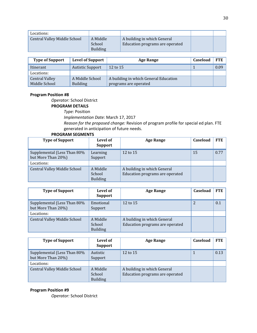| Locations:                   |                                       |                                                                |  |
|------------------------------|---------------------------------------|----------------------------------------------------------------|--|
| Central Valley Middle School | A Middle<br>School<br><b>Building</b> | A building in which General<br>Education programs are operated |  |

| <b>Type of Support</b>                 | <b>Level of Support</b>            | <b>Age Range</b>                                               | Caseload | <b>FTE</b> |
|----------------------------------------|------------------------------------|----------------------------------------------------------------|----------|------------|
| Itinerant                              | <b>Autistic Support</b>            | 12 to $15$                                                     |          | 0.09       |
| Locations:                             |                                    |                                                                |          |            |
| <b>Central Valley</b><br>Middle School | A Middle School<br><b>Building</b> | A building in which General Education<br>programs are operated |          |            |

*Operator:* School District

#### **PROGRAM DETAILS**

*Type:* Position

*Implementation Date:* March 17, 2017

*Reason for the proposed change:* Revision of program profile for special ed plan. FTE generated in anticipation of future needs.

#### **PROGRAM SEGMENTS**

| <b>Type of Support</b>                            | Level of<br><b>Support</b>            | <b>Age Range</b>                                               | Caseload | <b>FTE</b> |
|---------------------------------------------------|---------------------------------------|----------------------------------------------------------------|----------|------------|
| Supplemental (Less Than 80%<br>but More Than 20%) | Learning<br>Support                   | 12 to 15                                                       | 15       | 0.77       |
| Locations:                                        |                                       |                                                                |          |            |
| <b>Central Valley Middle School</b>               | A Middle<br>School<br><b>Building</b> | A building in which General<br>Education programs are operated |          |            |

| <b>Type of Support</b>                            | Level of<br><b>Support</b>            | <b>Age Range</b>                                               | Caseload | <b>FTE</b> |
|---------------------------------------------------|---------------------------------------|----------------------------------------------------------------|----------|------------|
| Supplemental (Less Than 80%<br>but More Than 20%) | Emotional<br>Support                  | 12 to 15                                                       |          | 0.1        |
| Locations:                                        |                                       |                                                                |          |            |
| <b>Central Valley Middle School</b>               | A Middle<br>School<br><b>Building</b> | A building in which General<br>Education programs are operated |          |            |

| <b>Type of Support</b>                            | Level of<br><b>Support</b>            | <b>Age Range</b>                                               | Caseload | <b>FTE</b> |
|---------------------------------------------------|---------------------------------------|----------------------------------------------------------------|----------|------------|
| Supplemental (Less Than 80%<br>but More Than 20%) | Autistic<br>Support                   | 12 to 15                                                       |          | 0.13       |
| Locations:                                        |                                       |                                                                |          |            |
| Central Valley Middle School                      | A Middle<br>School<br><b>Building</b> | A building in which General<br>Education programs are operated |          |            |

#### **Program Position #9**

*Operator:* School District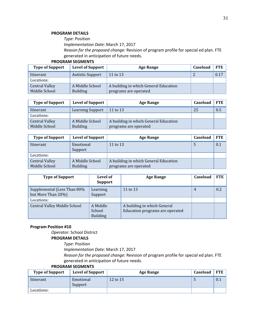#### **PROGRAM DETAILS**

*Type:* Position

*Implementation Date:* March 17, 2017

*Reason for the proposed change:* Revision of program profile for special ed plan. FTE generated in anticipation of future needs.

#### **PROGRAM SEGMENTS**

| <b>Type of Support</b> | <b>Level of Support</b> | <b>Age Range</b>                      | <b>Caseload</b> | <b>FTE</b> |
|------------------------|-------------------------|---------------------------------------|-----------------|------------|
| Itinerant              | <b>Autistic Support</b> | 11 to 13                              |                 | 0.17       |
| Locations:             |                         |                                       |                 |            |
| <b>Central Valley</b>  | A Middle School         | A building in which General Education |                 |            |
| Middle School          | <b>Building</b>         | programs are operated                 |                 |            |

| <b>Type of Support</b> | <b>Level of Support</b> | <b>Age Range</b>                      | Caseload | <b>FTE</b> |
|------------------------|-------------------------|---------------------------------------|----------|------------|
| Itinerant              | <b>Learning Support</b> | 11 to 13                              | 25       | 0.5        |
| Locations:             |                         |                                       |          |            |
| <b>Central Valley</b>  | A Middle School         | A building in which General Education |          |            |
| Middle School          | <b>Building</b>         | programs are operated                 |          |            |

| <b>Type of Support</b>                 | <b>Level of Support</b>            | Age Range                                                      | Caseload | <b>FTE</b> |
|----------------------------------------|------------------------------------|----------------------------------------------------------------|----------|------------|
| Itinerant                              | Emotional<br>Support               | 11 to 13                                                       |          | 0.1        |
| Locations:                             |                                    |                                                                |          |            |
| <b>Central Valley</b><br>Middle School | A Middle School<br><b>Building</b> | A building in which General Education<br>programs are operated |          |            |

| <b>Type of Support</b>                            | Level of<br><b>Support</b>            | Age Range                                                      | Caseload | <b>FTE</b> |
|---------------------------------------------------|---------------------------------------|----------------------------------------------------------------|----------|------------|
| Supplemental (Less Than 80%<br>but More Than 20%) | Learning<br>Support                   | 11 to 13                                                       | 4        | 0.2        |
| Locations:                                        |                                       |                                                                |          |            |
| <b>Central Valley Middle School</b>               | A Middle<br>School<br><b>Building</b> | A building in which General<br>Education programs are operated |          |            |

#### **Program Position #10**

*Operator:* School District

#### **PROGRAM DETAILS**

*Type:* Position

*Implementation Date:* March 17, 2017

*Reason for the proposed change:* Revision of program profile for special ed plan. FTE generated in anticipation of future needs.

| <b>Type of Support</b> | <b>Level of Support</b> | <b>Age Range</b> | Caseload | <b>FTE</b> |
|------------------------|-------------------------|------------------|----------|------------|
| Itinerant              | Emotional<br>Support    | 12 to 15         |          | 0.1        |
| Locations:             |                         |                  |          |            |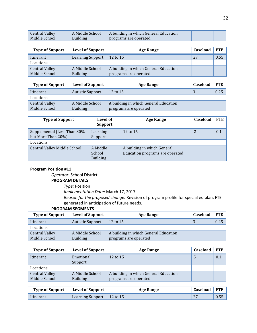| Central Valley | A Middle School | A building in which General Education |  |
|----------------|-----------------|---------------------------------------|--|
| Middle School  | <b>Building</b> | programs are operated                 |  |

| <b>Type of Support</b> | <b>Level of Support</b> | <b>Age Range</b>                      | Caseload | FTE  |
|------------------------|-------------------------|---------------------------------------|----------|------|
| Itinerant              | <b>Learning Support</b> | 12 to 15                              | 27       | 0.55 |
| Locations:             |                         |                                       |          |      |
| <b>Central Valley</b>  | A Middle School         | A building in which General Education |          |      |
| Middle School          | <b>Building</b>         | programs are operated                 |          |      |

| <b>Type of Support</b> | <b>Level of Support</b> | Age Range                             | Caseload | <b>FTE</b> |
|------------------------|-------------------------|---------------------------------------|----------|------------|
| Itinerant              | <b>Autistic Support</b> | $12$ to $15$                          | $\cdot$  | 0.25       |
| Locations:             |                         |                                       |          |            |
| <b>Central Valley</b>  | A Middle School         | A building in which General Education |          |            |
| Middle School          | <b>Building</b>         | programs are operated                 |          |            |

| <b>Type of Support</b>                            | Level of<br><b>Support</b>            | <b>Age Range</b>                                               | Caseload | <b>FTE</b> |
|---------------------------------------------------|---------------------------------------|----------------------------------------------------------------|----------|------------|
| Supplemental (Less Than 80%<br>but More Than 20%) | Learning<br>Support                   | 12 to 15                                                       |          | 0.1        |
| Locations:                                        |                                       |                                                                |          |            |
| <b>Central Valley Middle School</b>               | A Middle<br>School<br><b>Building</b> | A building in which General<br>Education programs are operated |          |            |

*Operator:* School District

#### **PROGRAM DETAILS**

*Type:* Position

*Implementation Date:* March 17, 2017

*Reason for the proposed change:* Revision of program profile for special ed plan. FTE generated in anticipation of future needs.

| <b>Type of Support</b> | <b>Level of Support</b> | <b>Age Range</b>                      | <b>Caseload</b> | <b>FTE</b> |
|------------------------|-------------------------|---------------------------------------|-----------------|------------|
| Itinerant              | <b>Autistic Support</b> | 12 to $15$                            | м.              | 0.25       |
| Locations:             |                         |                                       |                 |            |
| <b>Central Valley</b>  | A Middle School         | A building in which General Education |                 |            |
| Middle School          | <b>Building</b>         | programs are operated                 |                 |            |

| <b>Type of Support</b>                 | <b>Level of Support</b>            | Age Range                                                      | Caseload | <b>FTE</b> |
|----------------------------------------|------------------------------------|----------------------------------------------------------------|----------|------------|
| Itinerant                              | Emotional<br>Support               | 12 to 15                                                       |          | 0.1        |
| Locations:                             |                                    |                                                                |          |            |
| <b>Central Valley</b><br>Middle School | A Middle School<br><b>Building</b> | A building in which General Education<br>programs are operated |          |            |

| <b>Type of Support</b> | <b>Level of Support</b>     | <b>Age Range</b> | Caseload | <b>FTE</b> |
|------------------------|-----------------------------|------------------|----------|------------|
| Itinerant              | Learning Support   12 to 15 |                  |          | 0.55       |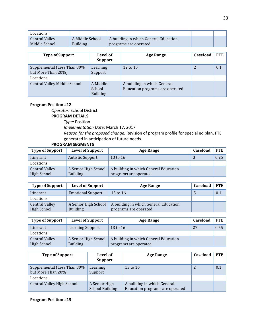| Locations:            |                 |                                       |  |
|-----------------------|-----------------|---------------------------------------|--|
| <b>Central Valley</b> | A Middle School | A building in which General Education |  |
| Middle School         | Building        | programs are operated                 |  |

| <b>Type of Support</b>                            | Level of<br><b>Support</b>            | <b>Age Range</b>                                               | Caseload | <b>FTE</b> |
|---------------------------------------------------|---------------------------------------|----------------------------------------------------------------|----------|------------|
| Supplemental (Less Than 80%<br>but More Than 20%) | Learning<br>Support                   | 12 to 15                                                       |          | 0.1        |
| Locations:                                        |                                       |                                                                |          |            |
| <b>Central Valley Middle School</b>               | A Middle<br>School<br><b>Building</b> | A building in which General<br>Education programs are operated |          |            |

*Operator:* School District **PROGRAM DETAILS** *Type:* Position

*Implementation Date:* March 17, 2017

*Reason for the proposed change:* Revision of program profile for special ed plan. FTE generated in anticipation of future needs.

#### **PROGRAM SEGMENTS**

| <b>Type of Support</b> | <b>Level of Support</b> | <b>Age Range</b>                      | Caseload | <b>FTE</b> |
|------------------------|-------------------------|---------------------------------------|----------|------------|
| Itinerant              | <b>Autistic Support</b> | 13 to 16                              | $\sim$   | 0.25       |
| Locations:             |                         |                                       |          |            |
| <b>Central Valley</b>  | A Senior High School    | A building in which General Education |          |            |
| High School            | <b>Building</b>         | programs are operated                 |          |            |

| <b>Type of Support</b>               | <b>Level of Support</b>                 | Age Range                                                      | Caseload | FTE |
|--------------------------------------|-----------------------------------------|----------------------------------------------------------------|----------|-----|
| Itinerant                            | <b>Emotional Support</b>                | 13 to 16                                                       |          | 0.1 |
| Locations:                           |                                         |                                                                |          |     |
| <b>Central Valley</b><br>High School | A Senior High School<br><b>Building</b> | A building in which General Education<br>programs are operated |          |     |

| <b>Type of Support</b> | <b>Level of Support</b> | <b>Age Range</b>                      | Caseload | <b>FTE</b> |
|------------------------|-------------------------|---------------------------------------|----------|------------|
| Itinerant              | Learning Support        | 13 to 16                              | 27       | 0.55       |
| Locations:             |                         |                                       |          |            |
| <b>Central Valley</b>  | A Senior High School    | A building in which General Education |          |            |
| High School            | <b>Building</b>         | programs are operated                 |          |            |

| <b>Type of Support</b>                            | Level of<br><b>Support</b>              | <b>Age Range</b>                                               | Caseload | FTE |
|---------------------------------------------------|-----------------------------------------|----------------------------------------------------------------|----------|-----|
| Supplemental (Less Than 80%<br>but More Than 20%) | Learning<br>Support                     | 13 to 16                                                       |          | 0.1 |
| Locations:                                        |                                         |                                                                |          |     |
| <b>Central Valley High School</b>                 | A Senior High<br><b>School Building</b> | A building in which General<br>Education programs are operated |          |     |

**Program Position #13**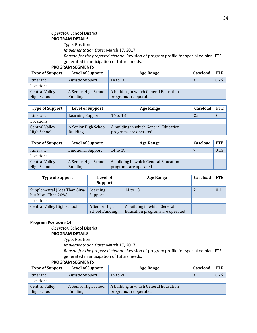#### *Operator:* School District **PROGRAM DETAILS**

#### *Type:* Position

*Implementation Date:* March 17, 2017

*Reason for the proposed change:* Revision of program profile for special ed plan. FTE generated in anticipation of future needs.

#### **PROGRAM SEGMENTS**

| <b>Type of Support</b>               | <b>Level of Support</b>                 | <b>Age Range</b>                                               | Caseload | <b>FTE</b> |
|--------------------------------------|-----------------------------------------|----------------------------------------------------------------|----------|------------|
| Itinerant                            | <b>Autistic Support</b>                 | 14 to 18                                                       |          | 0.25       |
| Locations:                           |                                         |                                                                |          |            |
| <b>Central Valley</b><br>High School | A Senior High School<br><b>Building</b> | A building in which General Education<br>programs are operated |          |            |

| <b>Type of Support</b>               | <b>Level of Support</b>                 | <b>Age Range</b>                                               | Caseload | FTE |
|--------------------------------------|-----------------------------------------|----------------------------------------------------------------|----------|-----|
| Itinerant                            | <b>Learning Support</b>                 | 14 to 18                                                       | 25       | 0.5 |
| Locations:                           |                                         |                                                                |          |     |
| <b>Central Valley</b><br>High School | A Senior High School<br><b>Building</b> | A building in which General Education<br>programs are operated |          |     |

| <b>Type of Support</b>               | <b>Level of Support</b>                 | <b>Age Range</b>                                               | <b>Caseload</b> | <b>FTE</b> |
|--------------------------------------|-----------------------------------------|----------------------------------------------------------------|-----------------|------------|
| Itinerant                            | <b>Emotional Support</b>                | 14 to 18                                                       |                 | 0.15       |
| Locations:                           |                                         |                                                                |                 |            |
| <b>Central Valley</b><br>High School | A Senior High School<br><b>Building</b> | A building in which General Education<br>programs are operated |                 |            |

| <b>Type of Support</b>                            | Level of<br><b>Support</b>              | Age Range                                                      | Caseload | <b>FTE</b> |
|---------------------------------------------------|-----------------------------------------|----------------------------------------------------------------|----------|------------|
| Supplemental (Less Than 80%<br>but More Than 20%) | Learning<br>Support                     | 14 to 18                                                       |          | 0.1        |
| Locations:                                        |                                         |                                                                |          |            |
| <b>Central Valley High School</b>                 | A Senior High<br><b>School Building</b> | A building in which General<br>Education programs are operated |          |            |

#### **Program Position #14**

*Operator:* School District **PROGRAM DETAILS**

*Type:* Position

*Implementation Date:* March 17, 2017

*Reason for the proposed change:* Revision of program profile for special ed plan. FTE generated in anticipation of future needs.

| <b>Type of Support</b> | <b>Level of Support</b> | <b>Age Range</b>                      | Caseload | FTE  |
|------------------------|-------------------------|---------------------------------------|----------|------|
| Itinerant              | Autistic Support        | 16 to 20                              | - 1      | 0.25 |
| Locations:             |                         |                                       |          |      |
| <b>Central Valley</b>  | A Senior High School    | A building in which General Education |          |      |
| High School            | <b>Building</b>         | programs are operated                 |          |      |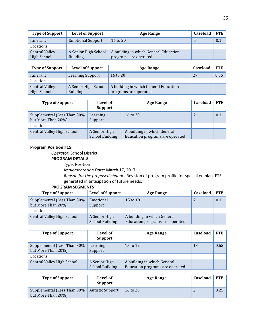| <b>Type of Support</b>                      | <b>Level of Support</b>                 | <b>Age Range</b>                                               | Caseload | <b>FTE</b> |
|---------------------------------------------|-----------------------------------------|----------------------------------------------------------------|----------|------------|
| Itinerant                                   | <b>Emotional Support</b>                | 16 to 20                                                       |          | 0.1        |
| Locations:                                  |                                         |                                                                |          |            |
| <b>Central Valley</b><br><b>High School</b> | A Senior High School<br><b>Building</b> | A building in which General Education<br>programs are operated |          |            |

| <b>Type of Support</b> | <b>Level of Support</b> | Age Range                             | Caseload | <b>FTE</b> |
|------------------------|-------------------------|---------------------------------------|----------|------------|
| Itinerant              | Learning Support        | 16 to $20$                            | 27       | 0.55       |
| Locations:             |                         |                                       |          |            |
| <b>Central Valley</b>  | A Senior High School    | A building in which General Education |          |            |
| High School            | <b>Building</b>         | programs are operated                 |          |            |

| <b>Type of Support</b>                            | Level of<br><b>Support</b>              | Age Range                                                      | Caseload | <b>FTE</b> |
|---------------------------------------------------|-----------------------------------------|----------------------------------------------------------------|----------|------------|
| Supplemental (Less Than 80%<br>but More Than 20%) | Learning<br>Support                     | 16 to 20                                                       |          | 0.1        |
| Locations:                                        |                                         |                                                                |          |            |
| <b>Central Valley High School</b>                 | A Senior High<br><b>School Building</b> | A building in which General<br>Education programs are operated |          |            |

*Operator:* School District

#### **PROGRAM DETAILS**

*Type:* Position

*Implementation Date:* March 17, 2017

*Reason for the proposed change:* Revision of program profile for special ed plan. FTE generated in anticipation of future needs.

| <b>Type of Support</b>                            | <b>Level of Support</b>                 | <b>Age Range</b>                                               | Caseload | <b>FTE</b> |
|---------------------------------------------------|-----------------------------------------|----------------------------------------------------------------|----------|------------|
| Supplemental (Less Than 80%<br>but More Than 20%) | Emotional<br>Support                    | 15 to 19                                                       |          | 0.1        |
| Locations:                                        |                                         |                                                                |          |            |
| <b>Central Valley High School</b>                 | A Senior High<br><b>School Building</b> | A building in which General<br>Education programs are operated |          |            |

| <b>Type of Support</b>                            | Level of<br><b>Support</b>              | Age Range                                                      | Caseload | <b>FTE</b> |
|---------------------------------------------------|-----------------------------------------|----------------------------------------------------------------|----------|------------|
| Supplemental (Less Than 80%<br>but More Than 20%) | Learning<br>Support                     | 15 to 19                                                       | 13       | 0.65       |
| Locations:                                        |                                         |                                                                |          |            |
| <b>Central Valley High School</b>                 | A Senior High<br><b>School Building</b> | A building in which General<br>Education programs are operated |          |            |

| <b>Type of Support</b>                             | Level of<br><b>Support</b> | Age Range | Caseload | <b>FTE</b> |
|----------------------------------------------------|----------------------------|-----------|----------|------------|
| Supplemental (Less Than 80%)<br>but More Than 20%) | Autistic Support           | 16 to 20  |          | 0.25       |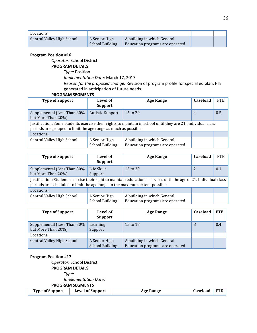| Locations:                        |                                  |                                                                |  |
|-----------------------------------|----------------------------------|----------------------------------------------------------------|--|
| <b>Central Valley High School</b> | A Senior High<br>School Building | A building in which General<br>Education programs are operated |  |

*Operator:* School District

#### **PROGRAM DETAILS**

*Type:* Position *Implementation Date:* March 17, 2017 *Reason for the proposed change:* Revision of program profile for special ed plan. FTE generated in anticipation of future needs.

#### **PROGRAM SEGMENTS**

| <b>Type of Support</b>                                                                                                                                                          | Level of<br><b>Support</b>              | <b>Age Range</b>                                               | Caseload       | <b>FTE</b> |  |
|---------------------------------------------------------------------------------------------------------------------------------------------------------------------------------|-----------------------------------------|----------------------------------------------------------------|----------------|------------|--|
| Supplemental (Less Than 80%<br>but More Than 20%)                                                                                                                               | <b>Autistic Support</b>                 | $15$ to $20$                                                   | $\overline{4}$ | 0.5        |  |
| Justification: Some students exercise their rights to maintain in school until they are 21. Individual class<br>periods are grouped to limit the age range as much as possible. |                                         |                                                                |                |            |  |
| Locations:                                                                                                                                                                      |                                         |                                                                |                |            |  |
| <b>Central Valley High School</b>                                                                                                                                               | A Senior High<br><b>School Building</b> | A building in which General<br>Education programs are operated |                |            |  |

| <b>Type of Support</b><br>Level of<br><b>Support</b>                                                                                                                                                |                                         | <b>Age Range</b>                                               | Caseload | <b>FTE</b> |
|-----------------------------------------------------------------------------------------------------------------------------------------------------------------------------------------------------|-----------------------------------------|----------------------------------------------------------------|----------|------------|
| Supplemental (Less Than 80%<br>but More Than 20%)                                                                                                                                                   | Life Skills<br>Support                  | 15 to 20                                                       |          | 0.1        |
| Justification: Students exercise their right to maintain educational services until the age of 21. Individual class<br>periods are scheduled to limit the age range to the maximum extent possible. |                                         |                                                                |          |            |
| Locations:                                                                                                                                                                                          |                                         |                                                                |          |            |
| <b>Central Valley High School</b>                                                                                                                                                                   | A Senior High<br><b>School Building</b> | A building in which General<br>Education programs are operated |          |            |

| <b>Type of Support</b>                            | Level of<br><b>Support</b>              | Age Range                                                      | Caseload | <b>FTE</b> |
|---------------------------------------------------|-----------------------------------------|----------------------------------------------------------------|----------|------------|
| Supplemental (Less Than 80%<br>but More Than 20%) | Learning<br>Support                     | 15 to 18                                                       | 8        | 0.4        |
| Locations:                                        |                                         |                                                                |          |            |
| <b>Central Valley High School</b>                 | A Senior High<br><b>School Building</b> | A building in which General<br>Education programs are operated |          |            |

#### **Program Position #17**

*Operator:* School District **PROGRAM DETAILS** *Type: Implementation Date:* **PROGRAM SEGMENTS Type** of Support **CO Level** of Support **Age** Range **Caseload** FTE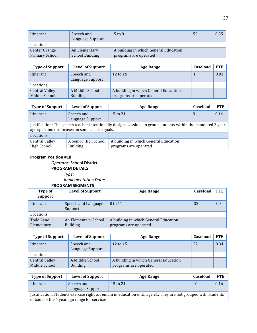| Itinerant                              | Speech and<br>Language Support          | $5$ to $8$                                                     | 55 | 0.85 |
|----------------------------------------|-----------------------------------------|----------------------------------------------------------------|----|------|
| Locations:                             |                                         |                                                                |    |      |
| Center Grange<br><b>Primary School</b> | An Elementary<br><b>School Building</b> | A building in which General Education<br>programs are operated |    |      |

| <b>Type of Support</b>                 | <b>Level of Support</b>            | <b>Age Range</b>                                               | Caseload | <b>FTE</b> |
|----------------------------------------|------------------------------------|----------------------------------------------------------------|----------|------------|
| Itinerant                              | Speech and<br>Language Support     | 12 to $16$                                                     |          | 0.01       |
| Locations:                             |                                    |                                                                |          |            |
| <b>Central Valley</b><br>Middle School | A Middle School<br><b>Building</b> | A building in which General Education<br>programs are operated |          |            |

| <b>Type of Support</b>                                                                                                                                         | <b>Level of Support</b>                 | <b>Age Range</b>                                               | Caseload | <b>FTE</b> |  |
|----------------------------------------------------------------------------------------------------------------------------------------------------------------|-----------------------------------------|----------------------------------------------------------------|----------|------------|--|
| Itinerant                                                                                                                                                      | Speech and<br>Language Support          | 15 to 21                                                       | q        | 0.14       |  |
| Justification: The speech teacher intentionally designs sessions to group students within the mandated 3 year<br>age span and/or focuses on same speech goals. |                                         |                                                                |          |            |  |
| Locations:                                                                                                                                                     |                                         |                                                                |          |            |  |
| <b>Central Valley</b><br>High School                                                                                                                           | A Senior High School<br><b>Building</b> | A building in which General Education<br>programs are operated |          |            |  |

*Operator:* School District

**PROGRAM DETAILS**

*Type:*

*Implementation Date:*

|                           | <b>PROGRAM SEGMENTS</b>                 |                                                                |          |            |
|---------------------------|-----------------------------------------|----------------------------------------------------------------|----------|------------|
| Type of<br><b>Support</b> | <b>Level of Support</b>                 | Age Range                                                      | Caseload | <b>FTE</b> |
| Itinerant                 | Speech and Language<br>Support          | 8 to 11                                                        | 32       | 0.5        |
| Locations:                |                                         |                                                                |          |            |
| Todd Lane<br>Elementary   | An Elementary School<br><b>Building</b> | A building in which General Education<br>programs are operated |          |            |

| <b>Type of Support</b>                 | <b>Level of Support</b>            | Age Range                                                      | Caseload | <b>FTE</b> |
|----------------------------------------|------------------------------------|----------------------------------------------------------------|----------|------------|
| Itinerant                              | Speech and<br>Language Support     | 12 to 15                                                       | 22       | 0.34       |
| Locations:                             |                                    |                                                                |          |            |
| <b>Central Valley</b><br>Middle School | A Middle School<br><b>Building</b> | A building in which General Education<br>programs are operated |          |            |

| <b>Type of Support</b>                                                                                                                                          | <b>Level of Support</b>        | <b>Age Range</b> | Caseload | <b>FTE</b> |  |  |
|-----------------------------------------------------------------------------------------------------------------------------------------------------------------|--------------------------------|------------------|----------|------------|--|--|
| Itinerant                                                                                                                                                       | Speech and<br>Language Support | 15 to 21         | 10       | 0.16       |  |  |
| Justification: Students exercise right to remain in education until age 21. They are not grouped with students<br>outside of the 4 year age range for services. |                                |                  |          |            |  |  |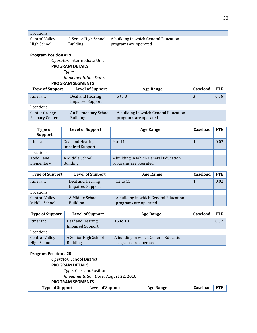| Locations:            |                      |                                       |  |
|-----------------------|----------------------|---------------------------------------|--|
| <b>Central Valley</b> | A Senior High School | A building in which General Education |  |
| High School           | <b>Building</b>      | programs are operated                 |  |

*Operator:* Intermediate Unit **PROGRAM DETAILS**

*Type:*

*Implementation Date:*

**PROGRAM SEGMENTS**

| <b>Type of Support</b>                 | <b>Level of Support</b>                     | <b>Age Range</b>                                               | Caseload | <b>FTE</b> |
|----------------------------------------|---------------------------------------------|----------------------------------------------------------------|----------|------------|
| Itinerant                              | Deaf and Hearing<br><b>Impaired Support</b> | $5 \text{ to } 8$                                              | 3        | 0.06       |
| Locations:                             |                                             |                                                                |          |            |
| Center Grange<br><b>Primary Center</b> | An Elementary School<br><b>Building</b>     | A building in which General Education<br>programs are operated |          |            |

| Type of<br><b>Support</b> | <b>Level of Support</b>                     | <b>Age Range</b>                                               | Caseload | <b>FTE</b> |
|---------------------------|---------------------------------------------|----------------------------------------------------------------|----------|------------|
| <b>Itinerant</b>          | Deaf and Hearing<br><b>Impaired Support</b> | 9 to 11                                                        |          | 0.02       |
| Locations:                |                                             |                                                                |          |            |
| Todd Lane<br>Elementary   | A Middle School<br><b>Building</b>          | A building in which General Education<br>programs are operated |          |            |

| <b>Type of Support</b> | <b>Level of Support</b>                     | Age Range                             | Caseload | <b>FTE</b> |
|------------------------|---------------------------------------------|---------------------------------------|----------|------------|
| Itinerant              | Deaf and Hearing<br><b>Impaired Support</b> | 12 to 15                              |          | 0.02       |
| Locations:             |                                             |                                       |          |            |
| <b>Central Valley</b>  | A Middle School                             | A building in which General Education |          |            |
| Middle School          | <b>Building</b>                             | programs are operated                 |          |            |

| <b>Type of Support</b> | <b>Level of Support</b>                     | Age Range                             | Caseload | <b>FTE</b> |
|------------------------|---------------------------------------------|---------------------------------------|----------|------------|
| Itinerant              | Deaf and Hearing<br><b>Impaired Support</b> | 16 to 18                              |          | 0.02       |
| Locations:             |                                             |                                       |          |            |
| <b>Central Valley</b>  | A Senior High School                        | A building in which General Education |          |            |
| High School            | <b>Building</b>                             | programs are operated                 |          |            |

#### **Program Position #20**

*Operator:* School District **PROGRAM DETAILS** *Type:* ClassandPosition *Implementation Date:* August 22, 2016 **PROGRAM SEGMENTS**

| $\text{Caseload}$ FTE<br><b>Level of Support</b><br><b>Type of Support</b><br><b>Age Range</b> |  |
|------------------------------------------------------------------------------------------------|--|
|------------------------------------------------------------------------------------------------|--|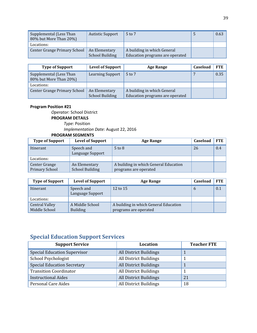| Supplemental (Less Than<br>80% but More Than 20%) | <b>Autistic Support</b>                 | 5 to 7                                                         | 0.63 |
|---------------------------------------------------|-----------------------------------------|----------------------------------------------------------------|------|
| Locations:                                        |                                         |                                                                |      |
| Center Grange Primary School                      | An Elementary<br><b>School Building</b> | A building in which General<br>Education programs are operated |      |

| <b>Type of Support</b>                            | <b>Level of Support</b> | <b>Age Range</b>                | <b>Caseload</b> | <b>FTE</b> |
|---------------------------------------------------|-------------------------|---------------------------------|-----------------|------------|
| Supplemental (Less Than<br>80% but More Than 20%) | <b>Learning Support</b> | $5$ to $7$                      |                 | 0.35       |
| Locations:                                        |                         |                                 |                 |            |
| Center Grange Primary School                      | An Elementary           | A building in which General     |                 |            |
|                                                   | <b>School Building</b>  | Education programs are operated |                 |            |

*Operator:* School District **PROGRAM DETAILS** *Type:* Position *Implementation Date:* August 22, 2016

## **PROGRAM SEGMENTS**

| <b>Type of Support</b> | <b>Level of Support</b> | <b>Age Range</b>                      | Caseload | <b>FTE</b> |
|------------------------|-------------------------|---------------------------------------|----------|------------|
| Itinerant              | Speech and              | $5$ to $8$                            | 26       | 0.4        |
|                        | Language Support        |                                       |          |            |
| Locations:             |                         |                                       |          |            |
| Center Grange          | An Elementary           | A building in which General Education |          |            |
| Primary School         | <b>School Building</b>  | programs are operated                 |          |            |

| <b>Type of Support</b>                 | <b>Level of Support</b>            | Age Range                                                      | Caseload      | FTE |
|----------------------------------------|------------------------------------|----------------------------------------------------------------|---------------|-----|
| Itinerant                              | Speech and<br>Language Support     | 12 to 15                                                       | $\mathfrak h$ | 0.1 |
| Locations:                             |                                    |                                                                |               |     |
| <b>Central Valley</b><br>Middle School | A Middle School<br><b>Building</b> | A building in which General Education<br>programs are operated |               |     |

## **Special Education Support Services**

| <b>Support Service</b>              | <b>Location</b>               | <b>Teacher FTE</b> |
|-------------------------------------|-------------------------------|--------------------|
| <b>Special Education Supervisor</b> | <b>All District Buildings</b> |                    |
| School Psychologist                 | All District Buildings        |                    |
| <b>Special Education Secretary</b>  | All District Buildings        |                    |
| <b>Transition Coordinator</b>       | All District Buildings        |                    |
| <b>Instructional Aides</b>          | <b>All District Buildings</b> | 21                 |
| Personal Care Aides                 | All District Buildings        | 18                 |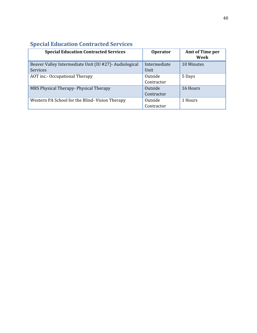| <b>Special Education Contracted Services</b>                               | <b>Operator</b>      | <b>Amt of Time per</b><br>Week |
|----------------------------------------------------------------------------|----------------------|--------------------------------|
| Beaver Valley Intermediate Unit (IU #27) - Audiological<br><b>Services</b> | Intermediate<br>Unit | 10 Minutes                     |
|                                                                            |                      |                                |
| AOT inc.- Occupational Therapy                                             | Outside              | 5 Days                         |
|                                                                            | Contractor           |                                |
| MRS Physical Therapy- Physical Therapy                                     | Outside              | 16 Hours                       |
|                                                                            | Contractor           |                                |
| Western PA School for the Blind-Vision Therapy                             | Outside              | 1 Hours                        |
|                                                                            | Contractor           |                                |

## **Special Education Contracted Services**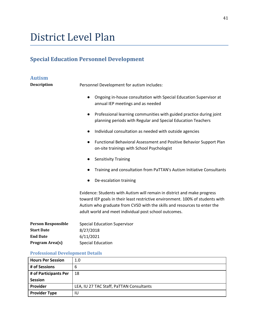## District Level Plan

## **Special Education Personnel Development**

| <b>Autism</b>             |                                                                                                                                                                                                                                                                                                 |
|---------------------------|-------------------------------------------------------------------------------------------------------------------------------------------------------------------------------------------------------------------------------------------------------------------------------------------------|
| <b>Description</b>        | Personnel Development for autism includes:                                                                                                                                                                                                                                                      |
|                           | Ongoing in-house consultation with Special Education Supervisor at<br>$\bullet$<br>annual IEP meetings and as needed                                                                                                                                                                            |
|                           | Professional learning communities with guided practice during joint<br>$\bullet$<br>planning periods with Regular and Special Education Teachers                                                                                                                                                |
|                           | Individual consultation as needed with outside agencies                                                                                                                                                                                                                                         |
|                           | Functional Behavioral Assessment and Positive Behavior Support Plan<br>$\bullet$<br>on-site trainings with School Psychologist                                                                                                                                                                  |
|                           | <b>Sensitivity Training</b>                                                                                                                                                                                                                                                                     |
|                           | Training and consultation from PaTTAN's Autism Initiative Consultants                                                                                                                                                                                                                           |
|                           | De-escalation training                                                                                                                                                                                                                                                                          |
|                           | Evidence: Students with Autism will remain in district and make progress<br>toward IEP goals in their least restrictive environment. 100% of students with<br>Autism who graduate from CVSD with the skills and resources to enter the<br>adult world and meet individual post school outcomes. |
| <b>Person Responsible</b> | <b>Special Education Supervisor</b>                                                                                                                                                                                                                                                             |
| <b>Start Date</b>         | 8/27/2018                                                                                                                                                                                                                                                                                       |
| <b>End Date</b>           | 6/11/2021                                                                                                                                                                                                                                                                                       |
| Program Area(s)           | <b>Special Education</b>                                                                                                                                                                                                                                                                        |

## **Professional Development Details**

| <b>Hours Per Session</b> | 1.0                                      |
|--------------------------|------------------------------------------|
| # of Sessions            | 6                                        |
| # of Participants Per    | 18                                       |
| <b>Session</b>           |                                          |
| Provider                 | LEA, IU 27 TAC Staff, PaTTAN Consultants |
| <b>Provider Type</b>     | IU                                       |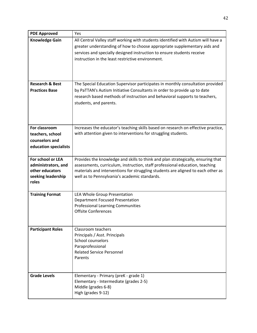| <b>PDE Approved</b>                    | Yes                                                                                                                                                                                                                                                                                           |
|----------------------------------------|-----------------------------------------------------------------------------------------------------------------------------------------------------------------------------------------------------------------------------------------------------------------------------------------------|
| <b>Knowledge Gain</b>                  | All Central Valley staff working with students identified with Autism will have a<br>greater understanding of how to choose appropriate supplementary aids and<br>services and specially designed instruction to ensure students receive<br>instruction in the least restrictive environment. |
|                                        |                                                                                                                                                                                                                                                                                               |
| <b>Research &amp; Best</b>             | The Special Education Supervisor participates in monthly consultation provided                                                                                                                                                                                                                |
| <b>Practices Base</b>                  | by PaTTAN's Autism Initiative Consultants in order to provide up to date                                                                                                                                                                                                                      |
|                                        | research based methods of instruction and behavioral supports to teachers,                                                                                                                                                                                                                    |
|                                        | students, and parents.                                                                                                                                                                                                                                                                        |
|                                        |                                                                                                                                                                                                                                                                                               |
|                                        |                                                                                                                                                                                                                                                                                               |
| For classroom                          | Increases the educator's teaching skills based on research on effective practice,                                                                                                                                                                                                             |
| teachers, school                       | with attention given to interventions for struggling students.                                                                                                                                                                                                                                |
| counselors and                         |                                                                                                                                                                                                                                                                                               |
| education specialists                  |                                                                                                                                                                                                                                                                                               |
| For school or LEA                      | Provides the knowledge and skills to think and plan strategically, ensuring that                                                                                                                                                                                                              |
| administrators, and<br>other educators | assessments, curriculum, instruction, staff professional education, teaching                                                                                                                                                                                                                  |
| seeking leadership                     | materials and interventions for struggling students are aligned to each other as<br>well as to Pennsylvania's academic standards.                                                                                                                                                             |
| roles                                  |                                                                                                                                                                                                                                                                                               |
|                                        |                                                                                                                                                                                                                                                                                               |
| <b>Training Format</b>                 | LEA Whole Group Presentation<br><b>Department Focused Presentation</b>                                                                                                                                                                                                                        |
|                                        | <b>Professional Learning Communities</b>                                                                                                                                                                                                                                                      |
|                                        | <b>Offsite Conferences</b>                                                                                                                                                                                                                                                                    |
|                                        |                                                                                                                                                                                                                                                                                               |
| <b>Participant Roles</b>               | Classroom teachers                                                                                                                                                                                                                                                                            |
|                                        | Principals / Asst. Principals                                                                                                                                                                                                                                                                 |
|                                        | School counselors<br>Paraprofessional                                                                                                                                                                                                                                                         |
|                                        | <b>Related Service Personnel</b>                                                                                                                                                                                                                                                              |
|                                        | Parents                                                                                                                                                                                                                                                                                       |
|                                        |                                                                                                                                                                                                                                                                                               |
| <b>Grade Levels</b>                    | Elementary - Primary (preK - grade 1)                                                                                                                                                                                                                                                         |
|                                        | Elementary - Intermediate (grades 2-5)                                                                                                                                                                                                                                                        |
|                                        | Middle (grades 6-8)                                                                                                                                                                                                                                                                           |
|                                        | High (grades 9-12)                                                                                                                                                                                                                                                                            |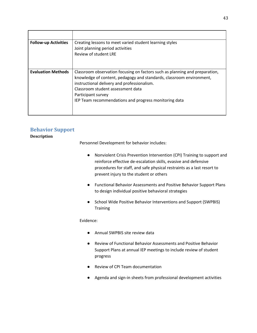| <b>Follow-up Activities</b> | Creating lessons to meet varied student learning styles<br>Joint planning period activities<br>Review of student LRE                                                                                                                                                                                                   |
|-----------------------------|------------------------------------------------------------------------------------------------------------------------------------------------------------------------------------------------------------------------------------------------------------------------------------------------------------------------|
| <b>Evaluation Methods</b>   | Classroom observation focusing on factors such as planning and preparation,<br>knowledge of content, pedagogy and standards, classroom environment,<br>instructional delivery and professionalism.<br>Classroom student assessment data<br>Participant survey<br>IEP Team recommendations and progress monitoring data |

### **Behavior Support**

**Description**

Personnel Development for behavior includes:

- Nonviolent Crisis Prevention Intervention (CPI) Training to support and reinforce effective de-escalation skills, evasive and defensive procedures for staff, and safe physical restraints as a last resort to prevent injury to the student or others
- Functional Behavior Assessments and Positive Behavior Support Plans to design individual positive behavioral strategies
- School Wide Positive Behavior Interventions and Support (SWPBIS) **Training**

Evidence:

- Annual SWPBIS site review data
- Review of Functional Behavior Assessments and Positive Behavior Support Plans at annual IEP meetings to include review of student progress
- Review of CPI Team documentation
- Agenda and sign-in sheets from professional development activities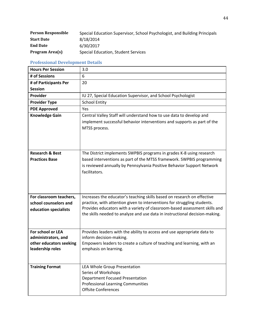| <b>Person Responsible</b> | Special Education Supervisor, School Psychologist, and Building Principals |
|---------------------------|----------------------------------------------------------------------------|
| <b>Start Date</b>         | 8/18/2014                                                                  |
| <b>End Date</b>           | 6/30/2017                                                                  |
| Program Area(s)           | Special Education, Student Services                                        |

#### **Professional Development Details**

| <b>Hours Per Session</b>                            | 3.0                                                                                                                                                                                                                                      |
|-----------------------------------------------------|------------------------------------------------------------------------------------------------------------------------------------------------------------------------------------------------------------------------------------------|
| # of Sessions                                       | 6                                                                                                                                                                                                                                        |
| # of Participants Per                               | 20                                                                                                                                                                                                                                       |
| <b>Session</b>                                      |                                                                                                                                                                                                                                          |
| Provider                                            | IU 27, Special Education Supervisor, and School Psychologist                                                                                                                                                                             |
| <b>Provider Type</b>                                | <b>School Entity</b>                                                                                                                                                                                                                     |
| <b>PDE Approved</b>                                 | Yes                                                                                                                                                                                                                                      |
| <b>Knowledge Gain</b>                               | Central Valley Staff will understand how to use data to develop and<br>implement successful behavior interventions and supports as part of the<br>MTSS process.                                                                          |
| <b>Research &amp; Best</b><br><b>Practices Base</b> | The District implements SWPBIS programs in grades K-8 using research<br>based interventions as part of the MTSS framework. SWPBIS programming<br>is reviewed annually by Pennsylvania Positive Behavior Support Network<br>facilitators. |
| For classroom teachers,                             | Increases the educator's teaching skills based on research on effective                                                                                                                                                                  |
| school counselors and                               | practice, with attention given to interventions for struggling students.                                                                                                                                                                 |
| education specialists                               | Provides educators with a variety of classroom-based assessment skills and<br>the skills needed to analyze and use data in instructional decision-making.                                                                                |
| For school or LEA                                   | Provides leaders with the ability to access and use appropriate data to                                                                                                                                                                  |
| administrators, and                                 | inform decision-making.                                                                                                                                                                                                                  |
| other educators seeking<br>leadership roles         | Empowers leaders to create a culture of teaching and learning, with an<br>emphasis on learning.                                                                                                                                          |
|                                                     |                                                                                                                                                                                                                                          |
| <b>Training Format</b>                              | LEA Whole Group Presentation                                                                                                                                                                                                             |
|                                                     | Series of Workshops                                                                                                                                                                                                                      |
|                                                     | <b>Department Focused Presentation</b><br><b>Professional Learning Communities</b>                                                                                                                                                       |
|                                                     | <b>Offsite Conferences</b>                                                                                                                                                                                                               |
|                                                     |                                                                                                                                                                                                                                          |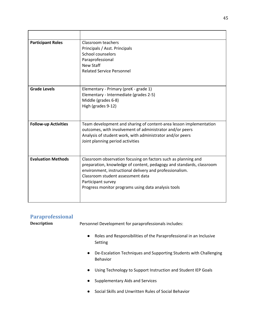| <b>Participant Roles</b>    | Classroom teachers<br>Principals / Asst. Principals<br>School counselors<br>Paraprofessional<br><b>New Staff</b><br><b>Related Service Personnel</b>                                                                                                                                                                 |
|-----------------------------|----------------------------------------------------------------------------------------------------------------------------------------------------------------------------------------------------------------------------------------------------------------------------------------------------------------------|
| <b>Grade Levels</b>         | Elementary - Primary (preK - grade 1)<br>Elementary - Intermediate (grades 2-5)<br>Middle (grades 6-8)<br>High (grades 9-12)                                                                                                                                                                                         |
| <b>Follow-up Activities</b> | Team development and sharing of content-area lesson implementation<br>outcomes, with involvement of administrator and/or peers<br>Analysis of student work, with administrator and/or peers<br>Joint planning period activities                                                                                      |
| <b>Evaluation Methods</b>   | Classroom observation focusing on factors such as planning and<br>preparation, knowledge of content, pedagogy and standards, classroom<br>environment, instructional delivery and professionalism.<br>Classroom student assessment data<br>Participant survey<br>Progress monitor programs using data analysis tools |

| <b>Paraprofessional</b> |                                                                                            |  |
|-------------------------|--------------------------------------------------------------------------------------------|--|
| <b>Description</b>      | Personnel Development for paraprofessionals includes:                                      |  |
|                         | Roles and Responsibilities of the Paraprofessional in an Inclusive<br>$\bullet$<br>Setting |  |
|                         | De-Escalation Techniques and Supporting Students with Challenging<br>$\bullet$<br>Behavior |  |
|                         | Using Technology to Support Instruction and Student IEP Goals<br>$\bullet$                 |  |
|                         | Supplementary Aids and Services<br>$\bullet$                                               |  |
|                         | Social Skills and Unwritten Rules of Social Behavior<br>$\bullet$                          |  |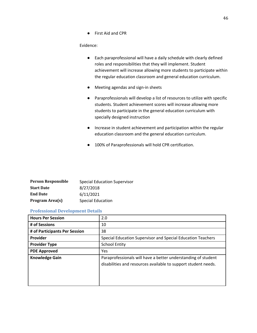Evidence:

- Each paraprofessional will have a daily schedule with clearly defined roles and responsibilities that they will implement. Student achievement will increase allowing more students to participate within the regular education classroom and general education curriculum.
- Meeting agendas and sign-in sheets
- Paraprofessionals will develop a list of resources to utilize with specific students. Student achievement scores will increase allowing more students to participate in the general education curriculum with specially designed instruction
- Increase in student achievement and participation within the regular education classroom and the general education curriculum.
- 100% of Paraprofessionals will hold CPR certification.

| <b>Person Responsible</b> | <b>Special Education Supervisor</b> |
|---------------------------|-------------------------------------|
| <b>Start Date</b>         | 8/27/2018                           |
| <b>End Date</b>           | 6/11/2021                           |
| Program Area(s)           | <b>Special Education</b>            |

#### **Professional Development Details**

| <b>Hours Per Session</b>      | 2.0                                                                                                                             |
|-------------------------------|---------------------------------------------------------------------------------------------------------------------------------|
| # of Sessions                 | 10                                                                                                                              |
| # of Participants Per Session | 38                                                                                                                              |
| Provider                      | Special Education Supervisor and Special Education Teachers                                                                     |
| <b>Provider Type</b>          | <b>School Entity</b>                                                                                                            |
| <b>PDE Approved</b>           | Yes                                                                                                                             |
| <b>Knowledge Gain</b>         | Paraprofessionals will have a better understanding of student<br>disabilities and resources available to support student needs. |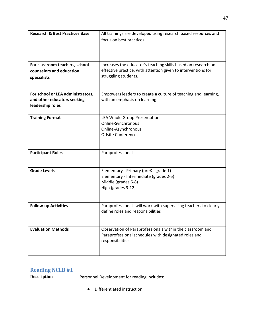| <b>Research &amp; Best Practices Base</b> | All trainings are developed using research based resources and   |
|-------------------------------------------|------------------------------------------------------------------|
|                                           | focus on best practices.                                         |
|                                           |                                                                  |
|                                           |                                                                  |
|                                           |                                                                  |
| For classroom teachers, school            | Increases the educator's teaching skills based on research on    |
| counselors and education                  | effective practice, with attention given to interventions for    |
| specialists                               | struggling students.                                             |
|                                           |                                                                  |
|                                           |                                                                  |
| For school or LEA administrators,         | Empowers leaders to create a culture of teaching and learning,   |
| and other educators seeking               | with an emphasis on learning.                                    |
| leadership roles                          |                                                                  |
|                                           |                                                                  |
| <b>Training Format</b>                    | LEA Whole Group Presentation                                     |
|                                           | Online-Synchronous                                               |
|                                           | Online-Asynchronous                                              |
|                                           | <b>Offsite Conferences</b>                                       |
|                                           |                                                                  |
|                                           |                                                                  |
| <b>Participant Roles</b>                  | Paraprofessional                                                 |
|                                           |                                                                  |
| <b>Grade Levels</b>                       |                                                                  |
|                                           | Elementary - Primary (preK - grade 1)                            |
|                                           | Elementary - Intermediate (grades 2-5)<br>Middle (grades 6-8)    |
|                                           | High (grades 9-12)                                               |
|                                           |                                                                  |
|                                           |                                                                  |
| <b>Follow-up Activities</b>               | Paraprofessionals will work with supervising teachers to clearly |
|                                           | define roles and responsibilities                                |
|                                           |                                                                  |
|                                           |                                                                  |
| <b>Evaluation Methods</b>                 | Observation of Paraprofessionals within the classroom and        |
|                                           | Paraprofessional schedules with designated roles and             |
|                                           | responsibilities                                                 |
|                                           |                                                                  |
|                                           |                                                                  |

## **Reading NCLB #1**

**Description** Personnel Development for reading includes:

● Differentiated instruction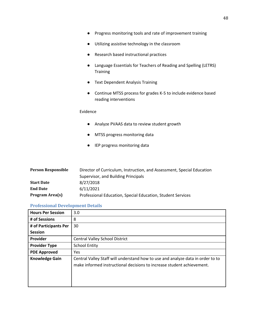- Utilizing assistive technology in the classroom
- Research based instructional practices
- Language Essentials for Teachers of Reading and Spelling (LETRS) **Training**
- Text Dependent Analysis Training
- Continue MTSS process for grades K-5 to include evidence based reading interventions

#### Evidence

- Analyze PVAAS data to review student growth
- MTSS progress monitoring data
- IEP progress monitoring data

| <b>Person Responsible</b> | Director of Curriculum, Instruction, and Assessment, Special Education |  |
|---------------------------|------------------------------------------------------------------------|--|
|                           | Supervisor, and Building Principals                                    |  |
| <b>Start Date</b>         | 8/27/2018                                                              |  |
| <b>End Date</b>           | 6/11/2021                                                              |  |
| Program Area(s)           | Professional Education, Special Education, Student Services            |  |

#### **Professional Development Details**

| <b>Hours Per Session</b> | 3.0                                                                                                                                                       |
|--------------------------|-----------------------------------------------------------------------------------------------------------------------------------------------------------|
| # of Sessions            | 8                                                                                                                                                         |
| # of Participants Per    | 30                                                                                                                                                        |
| <b>Session</b>           |                                                                                                                                                           |
| Provider                 | <b>Central Valley School District</b>                                                                                                                     |
| <b>Provider Type</b>     | <b>School Entity</b>                                                                                                                                      |
| <b>PDE Approved</b>      | <b>Yes</b>                                                                                                                                                |
| <b>Knowledge Gain</b>    | Central Valley Staff will understand how to use and analyze data in order to to<br>make informed instructional decisions to increase student achievement. |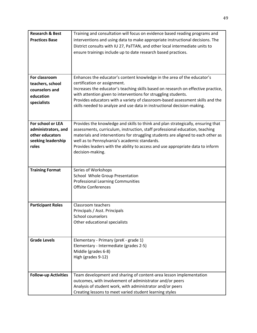| <b>Research &amp; Best</b>  | Training and consultation will focus on evidence based reading programs and                                                                      |
|-----------------------------|--------------------------------------------------------------------------------------------------------------------------------------------------|
| <b>Practices Base</b>       | interventions and using data to make appropriate instructional decisions. The                                                                    |
|                             | District consults with IU 27, PaTTAN, and other local intermediate units to                                                                      |
|                             | ensure trainings include up to date research based practices.                                                                                    |
|                             |                                                                                                                                                  |
|                             |                                                                                                                                                  |
|                             |                                                                                                                                                  |
| For classroom               | Enhances the educator's content knowledge in the area of the educator's                                                                          |
| teachers, school            | certification or assignment.                                                                                                                     |
| counselors and              | Increases the educator's teaching skills based on research on effective practice,                                                                |
| education                   | with attention given to interventions for struggling students.<br>Provides educators with a variety of classroom-based assessment skills and the |
| specialists                 | skills needed to analyze and use data in instructional decision-making.                                                                          |
|                             |                                                                                                                                                  |
|                             |                                                                                                                                                  |
| For school or LEA           | Provides the knowledge and skills to think and plan strategically, ensuring that                                                                 |
| administrators, and         | assessments, curriculum, instruction, staff professional education, teaching                                                                     |
| other educators             | materials and interventions for struggling students are aligned to each other as                                                                 |
| seeking leadership          | well as to Pennsylvania's academic standards.                                                                                                    |
| roles                       | Provides leaders with the ability to access and use appropriate data to inform                                                                   |
|                             | decision-making.                                                                                                                                 |
|                             |                                                                                                                                                  |
| <b>Training Format</b>      | Series of Workshops                                                                                                                              |
|                             | School Whole Group Presentation                                                                                                                  |
|                             | <b>Professional Learning Communities</b>                                                                                                         |
|                             | <b>Offsite Conferences</b>                                                                                                                       |
|                             |                                                                                                                                                  |
| <b>Participant Roles</b>    | Classroom teachers                                                                                                                               |
|                             | Principals / Asst. Principals                                                                                                                    |
|                             | School counselors                                                                                                                                |
|                             | Other educational specialists                                                                                                                    |
|                             |                                                                                                                                                  |
|                             |                                                                                                                                                  |
| <b>Grade Levels</b>         | Elementary - Primary (preK - grade 1)                                                                                                            |
|                             | Elementary - Intermediate (grades 2-5)                                                                                                           |
|                             | Middle (grades 6-8)<br>High (grades 9-12)                                                                                                        |
|                             |                                                                                                                                                  |
|                             |                                                                                                                                                  |
| <b>Follow-up Activities</b> | Team development and sharing of content-area lesson implementation                                                                               |
|                             | outcomes, with involvement of administrator and/or peers                                                                                         |
|                             | Analysis of student work, with administrator and/or peers                                                                                        |
|                             | Creating lessons to meet varied student learning styles                                                                                          |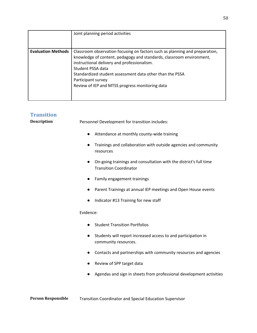|                           | Joint planning period activities                                                                                                                                                                                                                                                                                                                             |
|---------------------------|--------------------------------------------------------------------------------------------------------------------------------------------------------------------------------------------------------------------------------------------------------------------------------------------------------------------------------------------------------------|
| <b>Evaluation Methods</b> | Classroom observation focusing on factors such as planning and preparation,<br>knowledge of content, pedagogy and standards, classroom environment,<br>instructional delivery and professionalism.<br>Student PSSA data<br>Standardized student assessment data other than the PSSA<br>Participant survey<br>Review of IEP and MTSS progress monitoring data |

#### **Transition**

**Description Personnel Development for transition includes:** 

- Attendance at monthly county-wide training
- Trainings and collaboration with outside agencies and community resources
- On-going trainings and consultation with the district's full time Transition Coordinator
- Family engagement trainings
- Parent Trainings at annual IEP meetings and Open House events
- Indicator #13 Training for new staff

Evidence:

- Student Transition Portfolios
- Students will report increased access to and participation in community resources.
- Contacts and partnerships with community resources and agencies
- Review of SPP target data
- Agendas and sign in sheets from professional development activities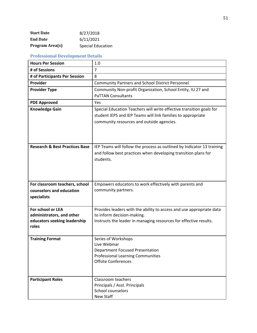| <b>Start Date</b>      | 8/27/2018                |
|------------------------|--------------------------|
| <b>End Date</b>        | 6/11/2021                |
| <b>Program Area(s)</b> | <b>Special Education</b> |

| <b>Hours Per Session</b>                  | 1.0                                                                                                                                                                               |
|-------------------------------------------|-----------------------------------------------------------------------------------------------------------------------------------------------------------------------------------|
| # of Sessions                             | $\overline{7}$                                                                                                                                                                    |
| # of Participants Per Session             | 8                                                                                                                                                                                 |
| Provider                                  | <b>Community Partners and School District Personnel</b>                                                                                                                           |
| <b>Provider Type</b>                      | Community Non-profit Organization, School Entity, IU 27 and<br><b>PaTTAN Consultants</b>                                                                                          |
| <b>PDE Approved</b>                       | Yes                                                                                                                                                                               |
| <b>Knowledge Gain</b>                     | Special Education Teachers will write effective transition goals for<br>student IEPS and IEP Teams will link families to appropriate<br>community resources and outside agencies. |
| <b>Research &amp; Best Practices Base</b> | IEP Teams will follow the process as outlined by Indicator 13 training<br>and follow best practices when developing transition plans for<br>students.                             |
| For classroom teachers, school            | Empowers educators to work effectively with parents and                                                                                                                           |
| counselors and education<br>specialists   | community partners.                                                                                                                                                               |
| For school or LEA                         | Provides leaders with the ability to access and use appropriate data                                                                                                              |
| administrators, and other                 | to inform decision-making.                                                                                                                                                        |
| educators seeking leadership<br>roles     | Instructs the leader in managing resources for effective results.                                                                                                                 |
| <b>Training Format</b>                    | Series of Workshops                                                                                                                                                               |
|                                           | Live Webinar                                                                                                                                                                      |
|                                           | <b>Department Focused Presentation</b>                                                                                                                                            |
|                                           | <b>Professional Learning Communities</b>                                                                                                                                          |
|                                           | <b>Offsite Conferences</b>                                                                                                                                                        |
| <b>Participant Roles</b>                  | Classroom teachers                                                                                                                                                                |
|                                           | Principals / Asst. Principals                                                                                                                                                     |
|                                           | School counselors                                                                                                                                                                 |
|                                           | New Staff                                                                                                                                                                         |

#### **Professional Development Details**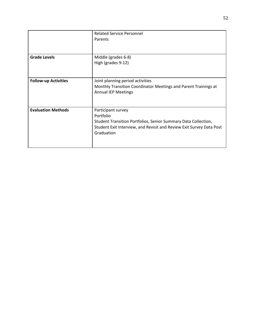|                             | <b>Related Service Personnel</b>                                     |
|-----------------------------|----------------------------------------------------------------------|
|                             | Parents                                                              |
|                             |                                                                      |
|                             |                                                                      |
| <b>Grade Levels</b>         | Middle (grades 6-8)                                                  |
|                             | High (grades 9-12)                                                   |
|                             |                                                                      |
|                             |                                                                      |
| <b>Follow-up Activities</b> | Joint planning period activities                                     |
|                             | Monthly Transition Coordinator Meetings and Parent Trainings at      |
|                             | <b>Annual IEP Meetings</b>                                           |
|                             |                                                                      |
|                             |                                                                      |
| <b>Evaluation Methods</b>   | Participant survey                                                   |
|                             | Portfolio                                                            |
|                             | Student Transition Portfolios, Senior Summary Data Collection,       |
|                             | Student Exit Interview, and Revisit and Review Exit Survey Data Post |
|                             | Graduation                                                           |
|                             |                                                                      |
|                             |                                                                      |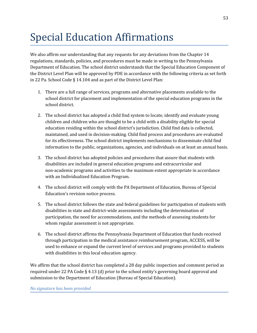## Special Education Affirmations

We also affirm our understanding that any requests for any deviations from the Chapter 14 regulations, standards, policies, and procedures must be made in writing to the Pennsylvania Department of Education. The school district understands that the Special Education Component of the District Level Plan will be approved by PDE in accordance with the following criteria as set forth in 22 Pa. School Code § 14.104 and as part of the District Level Plan:

- 1. There are a full range of services, programs and alternative placements available to the school district for placement and implementation of the special education programs in the school district.
- 2. The school district has adopted a child find system to locate, identify and evaluate young children and children who are thought to be a child with a disability eligible for special education residing within the school district's jurisdiction. Child find data is collected, maintained, and used in decision-making. Child find process and procedures are evaluated for its effectiveness. The school district implements mechanisms to disseminate child find information to the public, organizations, agencies, and individuals on at least an annual basis.
- 3. The school district has adopted policies and procedures that assure that students with disabilities are included in general education programs and extracurricular and non-academic programs and activities to the maximum extent appropriate in accordance with an Individualized Education Program.
- 4. The school district will comply with the PA Department of Education, Bureau of Special Education's revision notice process.
- 5. The school district follows the state and federal guidelines for participation of students with disabilities in state and district-wide assessments including the determination of participation, the need for accommodations, and the methods of assessing students for whom regular assessment is not appropriate.
- 6. The school district affirms the Pennsylvania Department of Education that funds received through participation in the medical assistance reimbursement program, ACCESS, will be used to enhance or expand the current level of services and programs provided to students with disabilities in this local education agency.

We affirm that the school district has completed a 28 day public inspection and comment period as required under 22 PA Code § 4.13 (d) prior to the school entity's governing board approval and submission to the Department of Education (Bureau of Special Education).